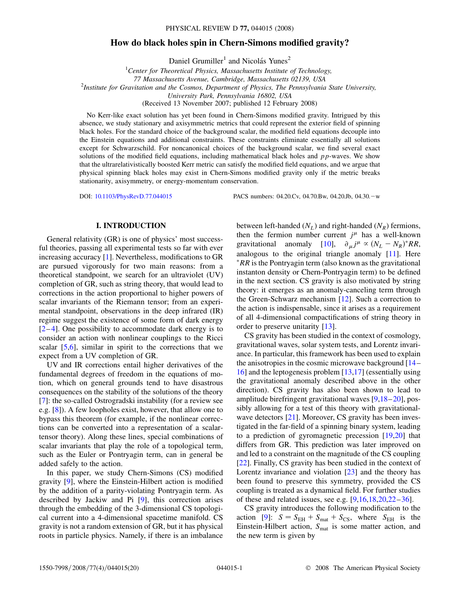# **How do black holes spin in Chern-Simons modified gravity?**

Daniel Grumiller<sup>1</sup> and Nicolás Yunes<sup>2</sup>

1 *Center for Theoretical Physics, Massachusetts Institute of Technology, 77 Massachusetts Avenue, Cambridge, Massachusetts 02139, USA* <sup>2</sup> *Institute for Gravitation and the Cosmos, Department of Physics, The Pennsylvania State University, University Park, Pennsylvania 16802, USA* (Received 13 November 2007; published 12 February 2008)

No Kerr-like exact solution has yet been found in Chern-Simons modified gravity. Intrigued by this absence, we study stationary and axisymmetric metrics that could represent the exterior field of spinning black holes. For the standard choice of the background scalar, the modified field equations decouple into the Einstein equations and additional constraints. These constraints eliminate essentially all solutions except for Schwarzschild. For noncanonical choices of the background scalar, we find several exact solutions of the modified field equations, including mathematical black holes and *pp*-waves. We show that the ultrarelativistically boosted Kerr metric can satisfy the modified field equations, and we argue that physical spinning black holes may exist in Chern-Simons modified gravity only if the metric breaks stationarity, axisymmetry, or energy-momentum conservation.

DOI: [10.1103/PhysRevD.77.044015](http://dx.doi.org/10.1103/PhysRevD.77.044015) PACS numbers: 04.20.Cv, 04.70.Bw, 04.20.Jb, 04.30.-w

#### **I. INTRODUCTION**

General relativity (GR) is one of physics' most successful theories, passing all experimental tests so far with ever increasing accuracy [\[1\]](#page-17-0). Nevertheless, modifications to GR are pursued vigorously for two main reasons: from a theoretical standpoint, we search for an ultraviolet (UV) completion of GR, such as string theory, that would lead to corrections in the action proportional to higher powers of scalar invariants of the Riemann tensor; from an experimental standpoint, observations in the deep infrared (IR) regime suggest the existence of some form of dark energy  $[2-4]$  $[2-4]$  $[2-4]$ . One possibility to accommodate dark energy is to consider an action with nonlinear couplings to the Ricci scalar  $[5,6]$  $[5,6]$  $[5,6]$ , similar in spirit to the corrections that we expect from a UV completion of GR.

UV and IR corrections entail higher derivatives of the fundamental degrees of freedom in the equations of motion, which on general grounds tend to have disastrous consequences on the stability of the solutions of the theory [\[7\]](#page-17-5): the so-called Ostrogradski instability (for a review see e.g. [\[8](#page-18-0)]). A few loopholes exist, however, that allow one to bypass this theorem (for example, if the nonlinear corrections can be converted into a representation of a scalartensor theory). Along these lines, special combinations of scalar invariants that play the role of a topological term, such as the Euler or Pontryagin term, can in general be added safely to the action.

In this paper, we study Chern-Simons (CS) modified gravity [[9\]](#page-18-1), where the Einstein-Hilbert action is modified by the addition of a parity-violating Pontryagin term. As described by Jackiw and Pi [\[9](#page-18-1)], this correction arises through the embedding of the 3-dimensional CS topological current into a 4-dimensional spacetime manifold. CS gravity is not a random extension of GR, but it has physical roots in particle physics. Namely, if there is an imbalance between left-handed  $(N_L)$  and right-handed  $(N_R)$  fermions, then the fermion number current  $j^{\mu}$  has a well-known gravitational anomaly [[10\]](#page-18-2),  $\partial_{\mu} j^{\mu} \propto (N_L - N_R)^* RR$ , analogous to the original triangle anomaly [\[11\]](#page-18-3). Here *RR* is the Pontryagin term (also known as the gravitational instanton density or Chern-Pontryagin term) to be defined in the next section. CS gravity is also motivated by string theory: it emerges as an anomaly-canceling term through the Green-Schwarz mechanism [\[12](#page-18-4)]. Such a correction to the action is indispensable, since it arises as a requirement of all 4-dimensional compactifications of string theory in order to preserve unitarity [[13](#page-18-5)].

CS gravity has been studied in the context of cosmology, gravitational waves, solar system tests, and Lorentz invariance. In particular, this framework has been used to explain the anisotropies in the cosmic microwave background [\[14](#page-18-6)– [16](#page-18-7)] and the leptogenesis problem [\[13,](#page-18-5)[17\]](#page-18-8) (essentially using the gravitational anomaly described above in the other direction). CS gravity has also been shown to lead to amplitude birefringent gravitational waves [\[9](#page-18-1),[18](#page-18-9)[–20\]](#page-18-10), possibly allowing for a test of this theory with gravitational-wave detectors [\[21\]](#page-18-11). Moreover, CS gravity has been investigated in the far-field of a spinning binary system, leading to a prediction of gyromagnetic precession [[19,](#page-18-12)[20](#page-18-10)] that differs from GR. This prediction was later improved on and led to a constraint on the magnitude of the CS coupling [\[22\]](#page-18-13). Finally, CS gravity has been studied in the context of Lorentz invariance and violation [\[23\]](#page-18-14) and the theory has been found to preserve this symmetry, provided the CS coupling is treated as a dynamical field. For further studies of these and related issues, see e.g. [[9](#page-18-1),[16](#page-18-7),[18](#page-18-9),[20](#page-18-10),[22](#page-18-13)–[36\]](#page-18-15).

CS gravity introduces the following modification to the action [[9\]](#page-18-1):  $S = S_{EH} + S_{mat} + S_{CS}$ , where  $S_{EH}$  is the Einstein-Hilbert action, S<sub>mat</sub> is some matter action, and the new term is given by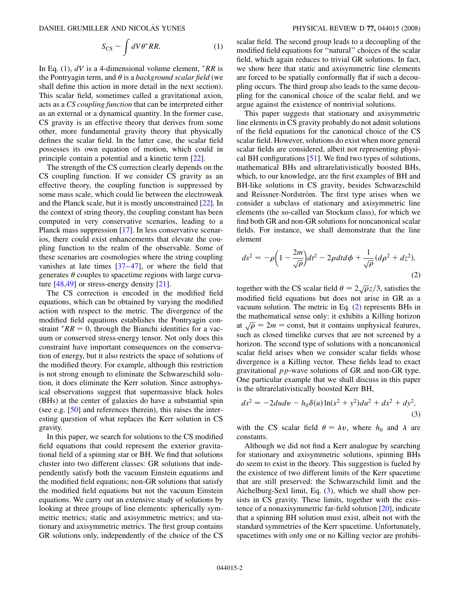$$
S_{\rm CS} \sim \int dV \theta^* RR. \tag{1}
$$

<span id="page-1-0"></span>In Eq.  $(1)$  $(1)$ ,  $dV$  is a 4-dimensional volume element,  $RR$  is the Pontryagin term, and  $\theta$  is a *background scalar field* (we shall define this action in more detail in the next section). This scalar field, sometimes called a gravitational axion, acts as a *CS coupling function* that can be interpreted either as an external or a dynamical quantity. In the former case, CS gravity is an effective theory that derives from some other, more fundamental gravity theory that physically defines the scalar field. In the latter case, the scalar field possesses its own equation of motion, which could in principle contain a potential and a kinetic term [\[22\]](#page-18-13).

The strength of the CS correction clearly depends on the CS coupling function. If we consider CS gravity as an effective theory, the coupling function is suppressed by some mass scale, which could lie between the electroweak and the Planck scale, but it is mostly unconstrained [[22\]](#page-18-13). In the context of string theory, the coupling constant has been computed in very conservative scenarios, leading to a Planck mass suppression [\[17\]](#page-18-8). In less conservative scenarios, there could exist enhancements that elevate the coupling function to the realm of the observable. Some of these scenarios are cosmologies where the string coupling vanishes at late times  $[37-47]$  $[37-47]$  $[37-47]$  $[37-47]$ , or where the field that generates  $\theta$  couples to spacetime regions with large curvature [[48](#page-18-18),[49](#page-18-19)] or stress-energy density [\[21\]](#page-18-11).

The CS correction is encoded in the modified field equations, which can be obtained by varying the modified action with respect to the metric. The divergence of the modified field equations establishes the Pontryagin constraint  $R = 0$ , through the Bianchi identities for a vacuum or conserved stress-energy tensor. Not only does this constraint have important consequences on the conservation of energy, but it also restricts the space of solutions of the modified theory. For example, although this restriction is not strong enough to eliminate the Schwarzschild solution, it does eliminate the Kerr solution. Since astrophysical observations suggest that supermassive black holes (BHs) at the center of galaxies do have a substantial spin (see e.g. [[50](#page-18-20)] and references therein), this raises the interesting question of what replaces the Kerr solution in CS gravity.

In this paper, we search for solutions to the CS modified field equations that could represent the exterior gravitational field of a spinning star or BH. We find that solutions cluster into two different classes: GR solutions that independently satisfy both the vacuum Einstein equations and the modified field equations; non-GR solutions that satisfy the modified field equations but not the vacuum Einstein equations. We carry out an extensive study of solutions by looking at three groups of line elements: spherically symmetric metrics; static and axisymmetric metrics; and stationary and axisymmetric metrics. The first group contains GR solutions only, independently of the choice of the CS scalar field. The second group leads to a decoupling of the modified field equations for ''natural'' choices of the scalar field, which again reduces to trivial GR solutions. In fact, we show here that static and axisymmetric line elements are forced to be spatially conformally flat if such a decoupling occurs. The third group also leads to the same decoupling for the canonical choice of the scalar field, and we argue against the existence of nontrivial solutions.

This paper suggests that stationary and axisymmetric line elements in CS gravity probably do not admit solutions of the field equations for the canonical choice of the CS scalar field. However, solutions do exist when more general scalar fields are considered, albeit not representing physical BH configurations [\[51\]](#page-18-21). We find two types of solutions, mathematical BHs and ultrarelativistically boosted BHs, which, to our knowledge, are the first examples of BH and BH-like solutions in CS gravity, besides Schwarzschild and Reissner-Nordström. The first type arises when we consider a subclass of stationary and axisymmetric line elements (the so-called van Stockum class), for which we find both GR and non-GR solutions for noncanonical scalar fields. For instance, we shall demonstrate that the line element

<span id="page-1-1"></span>
$$
ds^2 = -\rho \left(1 - \frac{2m}{\sqrt{\rho}}\right)dt^2 - 2\rho dt d\phi + \frac{1}{\sqrt{\rho}}(d\rho^2 + dz^2),\tag{2}
$$

together with the CS scalar field  $\theta = 2\sqrt{\rho}z/3$ , satisfies the -modified field equations but does not arise in GR as a vacuum solution. The metric in Eq. ([2\)](#page-1-1) represents BHs in the mathematical sense only: it exhibits a Killing horizon at  $\sqrt{\rho} = 2m = \text{const}$ , but it contains unphysical features, -<br>7 -<br>ว such as closed timelike curves that are not screened by a horizon. The second type of solutions with a noncanonical scalar field arises when we consider scalar fields whose divergence is a Killing vector. These fields lead to exact gravitational *pp*-wave solutions of GR and non-GR type. One particular example that we shall discuss in this paper is the ultrarelativistically boosted Kerr BH,

<span id="page-1-2"></span>
$$
ds^{2} = -2du dv - h_{0}\delta(u)\ln(x^{2} + y^{2})du^{2} + dx^{2} + dy^{2},
$$
\n(3)

with the CS scalar field  $\theta = \lambda v$ , where  $h_0$  and  $\lambda$  are constants.

Although we did not find a Kerr analogue by searching for stationary and axisymmetric solutions, spinning BHs do seem to exist in the theory. This suggestion is fueled by the existence of two different limits of the Kerr spacetime that are still preserved: the Schwarzschild limit and the Aichelburg-Sexl limit, Eq. ([3](#page-1-2)), which we shall show persists in CS gravity. These limits, together with the existence of a nonaxisymmetric far-field solution [[20](#page-18-10)], indicate that a spinning BH solution must exist, albeit not with the standard symmetries of the Kerr spacetime. Unfortunately, spacetimes with only one or no Killing vector are prohibi-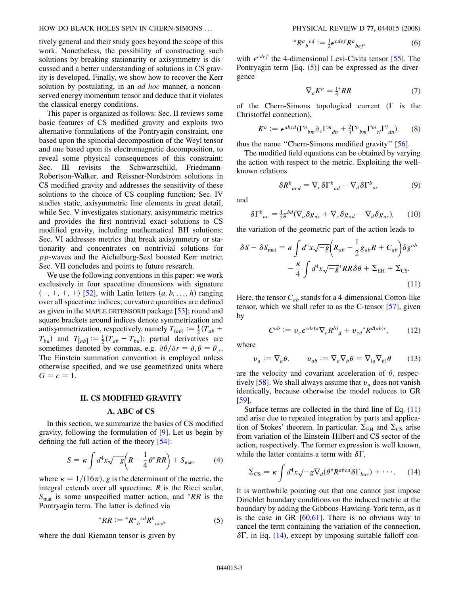tively general and their study goes beyond the scope of this work. Nonetheless, the possibility of constructing such solutions by breaking stationarity or axisymmetry is discussed and a better understanding of solutions in CS gravity is developed. Finally, we show how to recover the Kerr solution by postulating, in an *ad hoc* manner, a nonconserved energy momentum tensor and deduce that it violates the classical energy conditions.

This paper is organized as follows: Sec. II reviews some basic features of CS modified gravity and exploits two alternative formulations of the Pontryagin constraint, one based upon the spinorial decomposition of the Weyl tensor and one based upon its electromagnetic decomposition, to reveal some physical consequences of this constraint; Sec. III revisits the Schwarzschild, Friedmann-Robertson-Walker, and Reissner-Nordström solutions in CS modified gravity and addresses the sensitivity of these solutions to the choice of CS coupling function; Sec. IV studies static, axisymmetric line elements in great detail, while Sec. V investigates stationary, axisymmetric metrics and provides the first nontrivial exact solutions to CS modified gravity, including mathematical BH solutions; Sec. VI addresses metrics that break axisymmetry or stationarity and concentrates on nontrivial solutions for *pp*-waves and the Aichelburg-Sexl boosted Kerr metric; Sec. VII concludes and points to future research.

We use the following conventions in this paper: we work exclusively in four spacetime dimensions with signature  $(-, +, +, +)$  [[52](#page-18-22)], with Latin letters  $(a, b, \ldots, h)$  ranging over all spacetime indices; curvature quantities are defined as given in the MAPLE GRTENSORII package [\[53\]](#page-18-23); round and square brackets around indices denote symmetrization and antisymmetrization, respectively, namely  $T_{(ab)} := \frac{1}{2}(T_{ab} +$  $T_{ba}$  and  $T_{[ab]} := \frac{1}{2}(T_{ab} - T_{ba})$ ; partial derivatives are sometimes denoted by commas, e.g.  $\partial \theta / \partial r = \partial_r \theta = \theta_r$ . The Einstein summation convention is employed unless otherwise specified, and we use geometrized units where  $G = c = 1$ .

#### **II. CS MODIFIED GRAVITY**

#### **A. ABC of CS**

<span id="page-2-5"></span>In this section, we summarize the basics of CS modified gravity, following the formulation of [\[9\]](#page-18-1). Let us begin by defining the full action of the theory [\[54\]](#page-18-24):

$$
S = \kappa \int d^4x \sqrt{-g} \left( R - \frac{1}{4} \theta^* R R \right) + S_{\text{mat}} \tag{4}
$$

<span id="page-2-0"></span>where  $\kappa = 1/(16\pi)$ , g is the determinant of the metric, the integral extends over all spacetime, *R* is the Ricci scalar,  $S<sub>mat</sub>$  is some unspecified matter action, and *RR* is the Pontryagin term. The latter is defined via

$$
^*RR := ^*R^a{}_b{}^{cd}R^b{}_{acd}, \tag{5}
$$

where the dual Riemann tensor is given by

$$
{}^*R^a{}_b{}^{cd} := \frac{1}{2} \epsilon^{cdef} R^a{}_{bef}, \tag{6}
$$

<span id="page-2-3"></span>with  $\epsilon^{cdef}$  the 4-dimensional Levi-Civita tensor [[55](#page-18-25)]. The Pontryagin term  $[Eq, (5)]$  $[Eq, (5)]$  $[Eq, (5)]$  can be expressed as the divergence

$$
\nabla_a K^a = \frac{1}{4}^* R R \tag{7}
$$

<span id="page-2-4"></span>of the Chern-Simons topological current  $(\Gamma$  is the Christoffel connection),

$$
K^a := \epsilon^{abcd} (\Gamma^n{}_{bm} \partial_c \Gamma^m{}_{dn} + \frac{2}{3} \Gamma^n{}_{bm} \Gamma^m{}_{cl} \Gamma^l{}_{dn}), \qquad (8)
$$

thus the name ''Chern-Simons modified gravity'' [\[56\]](#page-18-26).

The modified field equations can be obtained by varying the action with respect to the metric. Exploiting the wellknown relations

$$
\delta R^b{}_{acd} = \nabla_c \delta \Gamma^b{}_{ad} - \nabla_d \delta \Gamma^b{}_{ac} \tag{9}
$$

and

$$
\delta \Gamma^{b}{}_{ac} = \frac{1}{2} g^{bd} (\nabla_a \delta g_{dc} + \nabla_c \delta g_{ad} - \nabla_d \delta g_{ac}), \qquad (10)
$$

<span id="page-2-1"></span>the variation of the geometric part of the action leads to

$$
\delta S - \delta S_{\text{mat}} = \kappa \int d^4 x \sqrt{-g} \Big( R_{ab} - \frac{1}{2} g_{ab} R + C_{ab} \Big) \delta g^{ab} - \frac{\kappa}{4} \int d^4 x \sqrt{-g^*} R R \delta \theta + \Sigma_{\text{EH}} + \Sigma_{\text{CS}}.
$$
\n(11)

<span id="page-2-6"></span>Here, the tensor  $C_{ab}$  stands for a 4-dimensional Cotton-like tensor, which we shall refer to as the C-tensor [\[57\]](#page-18-27), given by

$$
C^{ab} := \nu_c \epsilon^{cde(a} \nabla_e R^b)_d + \nu_{cd} {}^* R^{d(ab)c}, \qquad (12)
$$

where

$$
\nu_a := \nabla_a \theta, \qquad \nu_{ab} := \nabla_a \nabla_b \theta = \nabla_{(a} \nabla_{b)} \theta \qquad (13)
$$

are the velocity and covariant acceleration of  $\theta$ , respec-tively [\[58\]](#page-18-28). We shall always assume that  $v_a$  does not vanish identically, because otherwise the model reduces to GR [\[59\]](#page-18-29).

Surface terms are collected in the third line of Eq. [\(11\)](#page-2-1) and arise due to repeated integration by parts and application of Stokes' theorem. In particular,  $\Sigma_{EH}$  and  $\Sigma_{CS}$  arise from variation of the Einstein-Hilbert and CS sector of the action, respectively. The former expression is well known, while the latter contains a term with  $\delta\Gamma$ ,

<span id="page-2-2"></span>
$$
\Sigma_{\text{CS}} = \kappa \int d^4x \sqrt{-g} \nabla_d (\theta^* R^{abcd} \delta \Gamma_{bac}) + \cdots. \tag{14}
$$

It is worthwhile pointing out that one cannot just impose Dirichlet boundary conditions on the induced metric at the boundary by adding the Gibbons-Hawking-York term, as it is the case in GR  $[60,61]$  $[60,61]$ . There is no obvious way to cancel the term containing the variation of the connection,  $\delta\Gamma$ , in Eq. [\(14\)](#page-2-2), except by imposing suitable falloff con-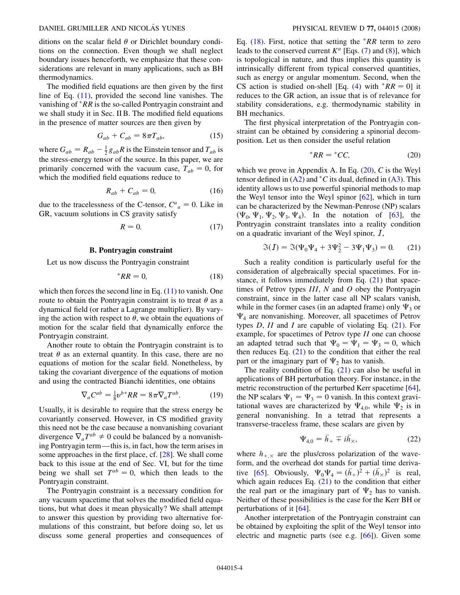ditions on the scalar field  $\theta$  or Dirichlet boundary conditions on the connection. Even though we shall neglect boundary issues henceforth, we emphasize that these considerations are relevant in many applications, such as BH thermodynamics.

The modified field equations are then given by the first line of Eq.  $(11)$  $(11)$ , provided the second line vanishes. The vanishing of *RR* is the so-called Pontryagin constraint and we shall study it in Sec. II B. The modified field equations in the presence of matter sources are then given by

$$
G_{ab} + C_{ab} = 8\pi T_{ab},\tag{15}
$$

<span id="page-3-4"></span>where  $G_{ab} = R_{ab} - \frac{1}{2} g_{ab} R$  is the Einstein tensor and  $T_{ab}$  is the stress-energy tensor of the source. In this paper, we are primarily concerned with the vacuum case,  $T_{ab} = 0$ , for which the modified field equations reduce to

$$
R_{ab} + C_{ab} = 0,\t\t(16)
$$

<span id="page-3-3"></span>due to the tracelessness of the C-tensor,  $C^a_{\ a} = 0$ . Like in GR, vacuum solutions in CS gravity satisfy

$$
R = 0.\t(17)
$$

### **B. Pontryagin constraint**

<span id="page-3-0"></span>Let us now discuss the Pontryagin constraint

$$
^*RR = 0,\t\t(18)
$$

which then forces the second line in Eq.  $(11)$  $(11)$  $(11)$  to vanish. One route to obtain the Pontryagin constraint is to treat  $\theta$  as a dynamical field (or rather a Lagrange multiplier). By varying the action with respect to  $\theta$ , we obtain the equations of motion for the scalar field that dynamically enforce the Pontryagin constraint.

Another route to obtain the Pontryagin constraint is to treat  $\theta$  as an external quantity. In this case, there are no equations of motion for the scalar field. Nonetheless, by taking the covariant divergence of the equations of motion and using the contracted Bianchi identities, one obtains

$$
\nabla_a C^{ab} = \frac{1}{8} v^{b*} R R = 8\pi \nabla_a T^{ab}.
$$
 (19)

Usually, it is desirable to require that the stress energy be covariantly conserved. However, in CS modified gravity this need not be the case because a nonvanishing covariant divergence  $\nabla_a T^{ab} \neq 0$  could be balanced by a nonvanishing Pontryagin term—this is, in fact, how the term arises in some approaches in the first place, cf. [\[28\]](#page-18-32). We shall come back to this issue at the end of Sec. VI, but for the time being we shall set  $T^{ab} = 0$ , which then leads to the Pontryagin constraint.

The Pontryagin constraint is a necessary condition for any vacuum spacetime that solves the modified field equations, but what does it mean physically? We shall attempt to answer this question by providing two alternative formulations of this constraint, but before doing so, let us discuss some general properties and consequences of Eq.  $(18)$  $(18)$ . First, notice that setting the *RR* term to zero leads to the conserved current  $K^a$  [Eqs. ([7](#page-2-3)) and [\(8](#page-2-4))], which is topological in nature, and thus implies this quantity is intrinsically different from typical conserved quantities, such as energy or angular momentum. Second, when the CS action is studied on-shell [Eq. [\(4\)](#page-2-5) with  $*RR = 0$ ] it reduces to the GR action, an issue that is of relevance for stability considerations, e.g. thermodynamic stability in BH mechanics.

<span id="page-3-1"></span>The first physical interpretation of the Pontryagin constraint can be obtained by considering a spinorial decomposition. Let us then consider the useful relation

$$
^*RR = ^*CC,\t(20)
$$

which we prove in Appendix A. In Eq. ([20](#page-3-1)), *C* is the Weyl tensor defined in  $(A2)$  $(A2)$  $(A2)$  and  ${}^*C$  its dual, defined in  $(A3)$  $(A3)$ . This identity allows us to use powerful spinorial methods to map the Weyl tensor into the Weyl spinor [[62](#page-18-33)], which in turn can be characterized by the Newman-Penrose (NP) scalars  $(\Psi_0, \Psi_1, \Psi_2, \Psi_3, \Psi_4)$ . In the notation of [\[63\]](#page-18-34), the Pontryagin constraint translates into a reality condition on a quadratic invariant of the Weyl spinor, I,

$$
\Im(I) = \Im(\Psi_0 \Psi_4 + 3\Psi_2^2 - 3\Psi_1 \Psi_3) = 0. \tag{21}
$$

<span id="page-3-2"></span>Such a reality condition is particularly useful for the consideration of algebraically special spacetimes. For instance, it follows immediately from Eq. ([21\)](#page-3-2) that spacetimes of Petrov types *III*, *N* and *O* obey the Pontryagin constraint, since in the latter case all NP scalars vanish, while in the former cases (in an adapted frame) only  $\Psi_3$  or  $\Psi_4$  are nonvanishing. Moreover, all spacetimes of Petrov types *D*, *II* and *I* are capable of violating Eq. [\(21\)](#page-3-2). For example, for spacetimes of Petrov type *II* one can choose an adapted tetrad such that  $\Psi_0 = \Psi_1 = \Psi_3 = 0$ , which then reduces Eq.  $(21)$  to the condition that either the real part or the imaginary part of  $\Psi_2$  has to vanish.

The reality condition of Eq.  $(21)$  $(21)$  $(21)$  can also be useful in applications of BH perturbation theory. For instance, in the metric reconstruction of the perturbed Kerr spacetime [[64\]](#page-19-0), the NP scalars  $\Psi_1 = \Psi_3 = 0$  vanish. In this context gravitational waves are characterized by  $\Psi_{4,0}$ , while  $\Psi_2$  is in general nonvanishing. In a tetrad that represents a transverse-traceless frame, these scalars are given by

$$
\Psi_{4,0} = \ddot{h}_+ \mp i\ddot{h}_\times,\tag{22}
$$

where  $h_{+,\times}$  are the plus/cross polarization of the waveform, and the overhead dot stands for partial time deriva-tive [\[65\]](#page-19-1). Obviously,  $\Psi_0\Psi_4 = (\ddot{h}_+)^2 + (\ddot{h}_\times)^2$  is real, which again reduces Eq.  $(21)$  $(21)$  $(21)$  to the condition that either the real part or the imaginary part of  $\Psi_2$  has to vanish. Neither of these possibilities is the case for the Kerr BH or perturbations of it [\[64\]](#page-19-0).

Another interpretation of the Pontryagin constraint can be obtained by exploiting the split of the Weyl tensor into electric and magnetic parts (see e.g. [\[66\]](#page-19-2)). Given some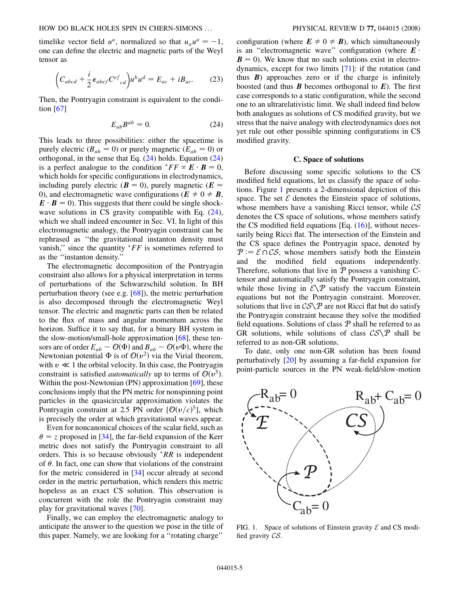timelike vector field  $u^a$ , normalized so that  $u_a u^a = -1$ , one can define the electric and magnetic parts of the Weyl tensor as

$$
\left(C_{abcd} + \frac{i}{2} \epsilon_{abef} C^{ef}_{cd}\right) u^b u^d = E_{ac} + i B_{ac}.
$$
 (23)

<span id="page-4-0"></span>Then, the Pontryagin constraint is equivalent to the condition [[67](#page-19-3)]

$$
E_{ab}B^{ab} = 0.\t\t(24)
$$

This leads to three possibilities: either the spacetime is purely electric ( $B_{ab} = 0$ ) or purely magnetic ( $E_{ab} = 0$ ) or orthogonal, in the sense that Eq.  $(24)$  holds. Equation  $(24)$ is a perfect analogue to the condition  $^*FF \propto \mathbf{E} \cdot \mathbf{B} = 0$ , which holds for specific configurations in electrodynamics, including purely electric ( $\mathbf{B} = 0$ ), purely magnetic ( $\mathbf{E} =$ 0), and electromagnetic wave configurations ( $\mathbf{E} \neq 0 \neq \mathbf{B}$ ,  $\mathbf{E} \cdot \mathbf{B} = 0$ ). This suggests that there could be single shockwave solutions in CS gravity compatible with Eq.  $(24)$ , which we shall indeed encounter in Sec. VI. In light of this electromagnetic analogy, the Pontryagin constraint can be rephrased as ''the gravitational instanton density must vanish," since the quantity *FF* is sometimes referred to as the ''instanton density.''

The electromagnetic decomposition of the Pontryagin constraint also allows for a physical interpretation in terms of perturbations of the Schwarzschild solution. In BH perturbation theory (see e.g.  $[68]$ ), the metric perturbation is also decomposed through the electromagnetic Weyl tensor. The electric and magnetic parts can then be related to the flux of mass and angular momentum across the horizon. Suffice it to say that, for a binary BH system in the slow-motion/small-hole approximation [\[68\]](#page-19-4), these tensors are of order  $E_{ab} \sim \mathcal{O}(\Phi)$  and  $B_{ab} \sim \mathcal{O}(v\Phi)$ , where the Newtonian potential  $\Phi$  is of  $\mathcal{O}(v^2)$  via the Virial theorem, with  $v \ll 1$  the orbital velocity. In this case, the Pontryagin constraint is satisfied *automatically* up to terms of  $O(v^5)$ . Within the post-Newtonian (PN) approximation [[69](#page-19-5)], these conclusions imply that the PN metric for nonspinning point particles in the quasicircular approximation violates the Pontryagin constraint at 2.5 PN order  $[O(v/c)^5]$ , which is precisely the order at which gravitational waves appear.

Even for noncanonical choices of the scalar field, such as  $\theta = z$  proposed in [[34](#page-18-35)], the far-field expansion of the Kerr metric does not satisfy the Pontryagin constraint to all orders. This is so because obviously *RR* is independent of  $\theta$ . In fact, one can show that violations of the constraint for the metric considered in [\[34\]](#page-18-35) occur already at second order in the metric perturbation, which renders this metric hopeless as an exact CS solution. This observation is concurrent with the role the Pontryagin constraint may play for gravitational waves [[70](#page-19-6)].

Finally, we can employ the electromagnetic analogy to anticipate the answer to the question we pose in the title of this paper. Namely, we are looking for a ''rotating charge''

configuration (where  $\mathbf{E} \neq 0 \neq \mathbf{B}$ ), which simultaneously is an "electromagnetic wave" configuration (where  $E \cdot$ **). We know that no such solutions exist in electro**dynamics, except for two limits [\[71\]](#page-19-7): if the rotation (and thus  $\bm{B}$ ) approaches zero or if the charge is infinitely boosted (and thus *B* becomes orthogonal to *E*). The first case corresponds to a static configuration, while the second one to an ultrarelativistic limit. We shall indeed find below both analogues as solutions of CS modified gravity, but we stress that the naive analogy with electrodynamics does not yet rule out other possible spinning configurations in CS modified gravity.

#### **C. Space of solutions**

Before discussing some specific solutions to the CS modified field equations, let us classify the space of solutions. Figure [1](#page-4-1) presents a 2-dimensional depiction of this space. The set  $\mathcal E$  denotes the Einstein space of solutions, whose members have a vanishing Ricci tensor, while  $\mathcal{CS}$ denotes the CS space of solutions, whose members satisfy the CS modified field equations  $[Eq. (16)]$  $[Eq. (16)]$  $[Eq. (16)]$ , without necessarily being Ricci flat. The intersection of the Einstein and the CS space defines the Pontryagin space, denoted by  $P = \mathcal{E} \cap \mathcal{C} \mathcal{S}$ , whose members satisfy both the Einstein and the modified field equations independently. Therefore, solutions that live in  $P$  possess a vanishing Ctensor and automatically satisfy the Pontryagin constraint, while those living in  $\mathcal{E}\backslash\mathcal{P}$  satisfy the vaccum Einstein equations but not the Pontryagin constraint. Moreover, solutions that live in  $CS\$ P are not Ricci flat but do satisfy the Pontryagin constraint because they solve the modified field equations. Solutions of class  $P$  shall be referred to as GR solutions, while solutions of class  $CS\mathcal{S}\backslash\mathcal{P}$  shall be referred to as non-GR solutions.

To date, only one non-GR solution has been found perturbatively [[20](#page-18-10)] by assuming a far-field expansion for point-particle sources in the PN weak-field/slow-motion

<span id="page-4-1"></span>

FIG. 1. Space of solutions of Einstein gravity  $\mathcal E$  and CS modified gravity CS.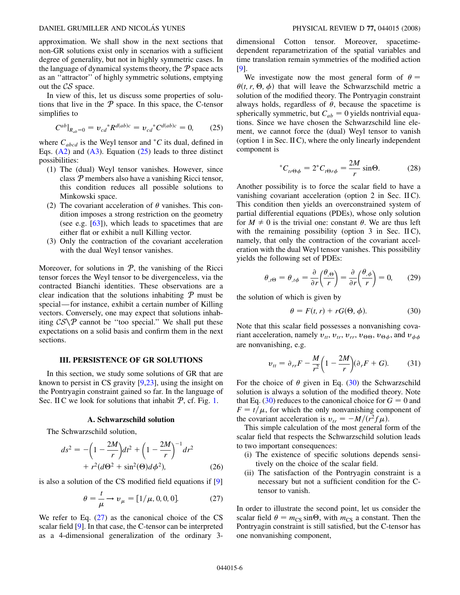approximation. We shall show in the next sections that non-GR solutions exist only in scenarios with a sufficient degree of generality, but not in highly symmetric cases. In the language of dynamical systems theory, the  $P$  space acts as an ''attractor'' of highly symmetric solutions, emptying out the CS space.

In view of this, let us discuss some properties of solutions that live in the  $P$  space. In this space, the C-tensor simplifies to

<span id="page-5-0"></span>
$$
C^{ab}|_{R_{ab}=0} = \nu_{cd}^* R^{d(ab)c} = \nu_{cd}^* C^{d(ab)c} = 0, \qquad (25)
$$

where  $C_{abcd}$  is the Weyl tensor and  $^*C$  its dual, defined in Eqs.  $(A2)$  $(A2)$  and  $(A3)$  $(A3)$ . Equation  $(25)$  $(25)$  $(25)$  leads to three distinct possibilities:

- (1) The (dual) Weyl tensor vanishes. However, since class P members also have a vanishing Ricci tensor, this condition reduces all possible solutions to Minkowski space.
- (2) The covariant acceleration of  $\theta$  vanishes. This condition imposes a strong restriction on the geometry (see e.g. [\[63\]](#page-18-34)), which leads to spacetimes that are either flat or exhibit a null Killing vector.
- (3) Only the contraction of the covariant acceleration with the dual Weyl tensor vanishes.

Moreover, for solutions in  $P$ , the vanishing of the Ricci tensor forces the Weyl tensor to be divergenceless, via the contracted Bianchi identities. These observations are a clear indication that the solutions inhabiting  $P$  must be special—for instance, exhibit a certain number of Killing vectors. Conversely, one may expect that solutions inhabiting  $CS\$  cannot be "too special." We shall put these expectations on a solid basis and confirm them in the next sections.

### **III. PERSISTENCE OF GR SOLUTIONS**

In this section, we study some solutions of GR that are known to persist in CS gravity [[9](#page-18-1),[23](#page-18-14)], using the insight on the Pontryagin constraint gained so far. In the language of Sec. II C we look for solutions that inhabit  $P$ , cf. Fig. [1](#page-4-1).

#### **A. Schwarzschild solution**

<span id="page-5-3"></span>The Schwarzschild solution,

$$
ds^{2} = -\left(1 - \frac{2M}{r}\right)dt^{2} + \left(1 - \frac{2M}{r}\right)^{-1}dr^{2} + r^{2}(d\Theta^{2} + \sin^{2}(\Theta)d\phi^{2}),
$$
 (26)

<span id="page-5-1"></span>is also a solution of the CS modified field equations if [[9](#page-18-1)]

$$
\theta = \frac{t}{\mu} \to v_{\mu} = [1/\mu, 0, 0, 0].
$$
 (27)

We refer to Eq.  $(27)$  $(27)$  $(27)$  as the canonical choice of the CS scalar field [\[9](#page-18-1)]. In that case, the C-tensor can be interpreted as a 4-dimensional generalization of the ordinary 3dimensional Cotton tensor. Moreover, spacetimedependent reparametrization of the spatial variables and time translation remain symmetries of the modified action [\[9\]](#page-18-1).

We investigate now the most general form of  $\theta =$  $\theta(t, r, \Theta, \phi)$  that will leave the Schwarzschild metric a solution of the modified theory. The Pontryagin constraint always holds, regardless of  $\theta$ , because the spacetime is spherically symmetric, but  $C_{ab} = 0$  yields nontrivial equations. Since we have chosen the Schwarzschild line element, we cannot force the (dual) Weyl tensor to vanish (option 1 in Sec. II C), where the only linearly independent component is

$$
{}^*C_{tr\Theta\phi} = 2{}^*C_{t\Theta r\phi} = \frac{2M}{r}\sin\Theta. \tag{28}
$$

Another possibility is to force the scalar field to have a vanishing covariant acceleration (option 2 in Sec. IIC). This condition then yields an overconstrained system of partial differential equations (PDEs), whose only solution for  $M \neq 0$  is the trivial one: constant  $\theta$ . We are thus left with the remaining possibility (option  $3$  in Sec. IIC), namely, that only the contraction of the covariant acceleration with the dual Weyl tensor vanishes. This possibility yields the following set of PDEs:

$$
\theta_{,t\Theta} = \theta_{,t\phi} = \frac{\partial}{\partial r} \left( \frac{\theta_{,\Theta}}{r} \right) = \frac{\partial}{\partial r} \left( \frac{\theta_{,\phi}}{r} \right) = 0, \qquad (29)
$$

<span id="page-5-2"></span>the solution of which is given by

$$
\theta = F(t, r) + rG(\Theta, \phi). \tag{30}
$$

Note that this scalar field possesses a nonvanishing covariant acceleration, namely  $v_{tt}$ ,  $v_{tr}$ ,  $v_{rr}$ ,  $v_{\theta\theta}$ ,  $v_{\theta\phi}$ , and  $v_{\phi\phi}$ are nonvanishing, e.g.

$$
v_{tt} = \partial_{rr} F - \frac{M}{r^2} \left( 1 - \frac{2M}{r} \right) (\partial_r F + G). \tag{31}
$$

For the choice of  $\theta$  given in Eq. [\(30\)](#page-5-2) the Schwarzschild solution is always a solution of the modified theory. Note that Eq. ([30](#page-5-2)) reduces to the canonical choice for  $G = 0$  and  $F = t/\mu$ , for which the only nonvanishing component of the covariant acceleration is  $v_{tr} = -M/(r^2 f \mu)$ .

This simple calculation of the most general form of the scalar field that respects the Schwarzschild solution leads to two important consequences:

- (i) The existence of specific solutions depends sensitively on the choice of the scalar field.
- (ii) The satisfaction of the Pontryagin constraint is a necessary but not a sufficient condition for the Ctensor to vanish.

In order to illustrate the second point, let us consider the scalar field  $\theta = m_{\text{CS}} \sin \Theta$ , with  $m_{\text{CS}}$  a constant. Then the Pontryagin constraint is still satisfied, but the C-tensor has one nonvanishing component,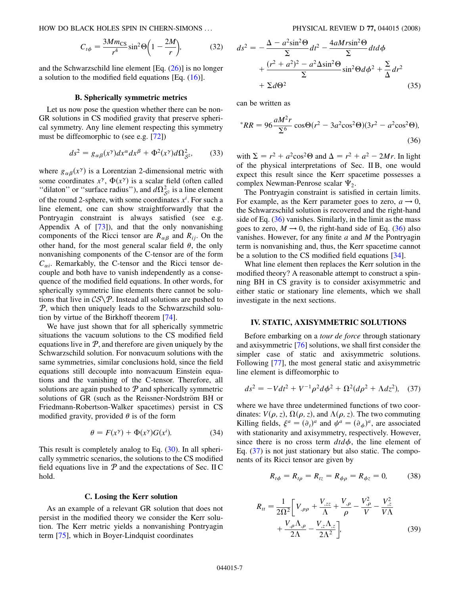$$
C_{t\phi} = \frac{3Mm_{\text{CS}}}{r^4} \sin^2 \Theta \bigg( 1 - \frac{2M}{r} \bigg),\tag{32}
$$

and the Schwarzschild line element  $[Eq. (26)]$  $[Eq. (26)]$  $[Eq. (26)]$  is no longer a solution to the modified field equations [Eq. ([16](#page-3-3))].

#### **B. Spherically symmetric metrics**

<span id="page-6-3"></span>Let us now pose the question whether there can be non-GR solutions in CS modified gravity that preserve spherical symmetry. Any line element respecting this symmetry must be diffeomorphic to (see e.g. [[72](#page-19-8)])

$$
ds^{2} = g_{\alpha\beta}(x^{\gamma})dx^{\alpha}dx^{\beta} + \Phi^{2}(x^{\gamma})d\Omega_{\mathcal{S}^{2}}^{2},
$$
 (33)

where  $g_{\alpha\beta}(x^{\gamma})$  is a Lorentzian 2-dimensional metric with some coordinates  $x^{\gamma}$ ,  $\Phi(x^{\gamma})$  is a scalar field (often called "dilaton" or "surface radius"), and  $d\Omega_{S^2}^2$  is a line element of the round 2-sphere, with some coordinates  $x^i$ . For such a line element, one can show straightforwardly that the Pontryagin constraint is always satisfied (see e.g. Appendix A of [\[73\]](#page-19-9)), and that the only nonvanishing components of the Ricci tensor are  $R_{\alpha\beta}$  and  $R_{ij}$ . On the other hand, for the most general scalar field  $\theta$ , the only nonvanishing components of the C-tensor are of the form  $C_{\alpha i}$ . Remarkably, the C-tensor and the Ricci tensor decouple and both have to vanish independently as a consequence of the modified field equations. In other words, for spherically symmetric line elements there cannot be solutions that live in  $\mathcal{CS}\backslash\mathcal{P}$ . Instead all solutions are pushed to P, which then uniquely leads to the Schwarzschild solution by virtue of the Birkhoff theorem [[74](#page-19-10)].

We have just shown that for all spherically symmetric situations the vacuum solutions to the CS modified field equations live in  $P$ , and therefore are given uniquely by the Schwarzschild solution. For nonvacuum solutions with the same symmetries, similar conclusions hold, since the field equations still decouple into nonvacuum Einstein equations and the vanishing of the C-tensor. Therefore, all solutions are again pushed to  $P$  and spherically symmetric solutions of GR (such as the Reissner-Nordström BH or Friedmann-Robertson-Walker spacetimes) persist in CS modified gravity, provided  $\theta$  is of the form

$$
\theta = F(x^{\gamma}) + \Phi(x^{\gamma})G(x^{i}). \tag{34}
$$

<span id="page-6-4"></span>This result is completely analog to Eq. ([30](#page-5-2)). In all spherically symmetric scenarios, the solutions to the CS modified field equations live in  $P$  and the expectations of Sec. II C hold.

#### **C. Losing the Kerr solution**

As an example of a relevant GR solution that does not persist in the modified theory we consider the Kerr solution. The Kerr metric yields a nonvanishing Pontryagin term [[75](#page-19-11)], which in Boyer-Lindquist coordinates

$$
ds^{2} = -\frac{\Delta - a^{2} \sin^{2} \Theta}{\Sigma} dt^{2} - \frac{4aMr \sin^{2} \Theta}{\Sigma} dt d\phi
$$
  
+ 
$$
\frac{(r^{2} + a^{2})^{2} - a^{2} \Delta \sin^{2} \Theta}{\Sigma} \sin^{2} \Theta d\phi^{2} + \frac{\Sigma}{\Delta} dr^{2}
$$
  
+ 
$$
\Sigma d\Theta^{2}
$$
 (35)

<span id="page-6-0"></span>can be written as

$$
{}^{*}RR = 96 \frac{aM^{2}r}{\Sigma^{6}} \cos\Theta(r^{2} - 3a^{2}\cos^{2}\Theta)(3r^{2} - a^{2}\cos^{2}\Theta),
$$
\n(36)

with  $\Sigma = r^2 + a^2 \cos^2 \Theta$  and  $\Delta = r^2 + a^2 - 2Mr$ . In light of the physical interpretations of Sec. II B, one would expect this result since the Kerr spacetime possesses a complex Newman-Penrose scalar  $\Psi_2$ .

The Pontryagin constraint is satisfied in certain limits. For example, as the Kerr parameter goes to zero,  $a \rightarrow 0$ , the Schwarzschild solution is recovered and the right-hand side of Eq. [\(36\)](#page-6-0) vanishes. Similarly, in the limit as the mass goes to zero,  $M \rightarrow 0$ , the right-hand side of Eq. ([36](#page-6-0)) also vanishes. However, for any finite *a* and *M* the Pontryagin term is nonvanishing and, thus, the Kerr spacetime cannot be a solution to the CS modified field equations [[34](#page-18-35)].

What line element then replaces the Kerr solution in the modified theory? A reasonable attempt to construct a spinning BH in CS gravity is to consider axisymmetric and either static or stationary line elements, which we shall investigate in the next sections.

#### **IV. STATIC, AXISYMMETRIC SOLUTIONS**

Before embarking on a *tour de force* through stationary and axisymmetric [\[76\]](#page-19-12) solutions, we shall first consider the simpler case of static and axisymmetric solutions. Following [[77\]](#page-19-13), the most general static and axisymmetric line element is diffeomorphic to

<span id="page-6-1"></span>
$$
ds^{2} = -Vdt^{2} + V^{-1}\rho^{2}d\phi^{2} + \Omega^{2}(d\rho^{2} + \Lambda dz^{2}), \quad (37)
$$

<span id="page-6-2"></span>where we have three undetermined functions of two coordinates:  $V(\rho, z)$ ,  $\Omega(\rho, z)$ , and  $\Lambda(\rho, z)$ . The two commuting Killing fields,  $\xi^a = (\partial_t)^a$  and  $\psi^a = (\partial_\phi)^a$ , are associated with stationarity and axisymmetry, respectively. However, since there is no cross term  $dt d\phi$ , the line element of Eq. [\(37\)](#page-6-1) is not just stationary but also static. The components of its Ricci tensor are given by

$$
R_{t\phi} = R_{t\rho} = R_{tz} = R_{\phi\rho} = R_{\phi z} = 0, \tag{38}
$$

$$
R_{tt} = \frac{1}{2\Omega^{2}} \left[ V_{,\rho\rho} + \frac{V_{,zz}}{\Lambda} + \frac{V_{,\rho}}{\rho} - \frac{V_{,\rho}^{2}}{V} - \frac{V_{,z}^{2}}{V\Lambda} + \frac{V_{,\rho}\Lambda_{,\rho}}{2\Lambda} - \frac{V_{,z}\Lambda_{,z}}{2\Lambda^{2}} \right],
$$
 (39)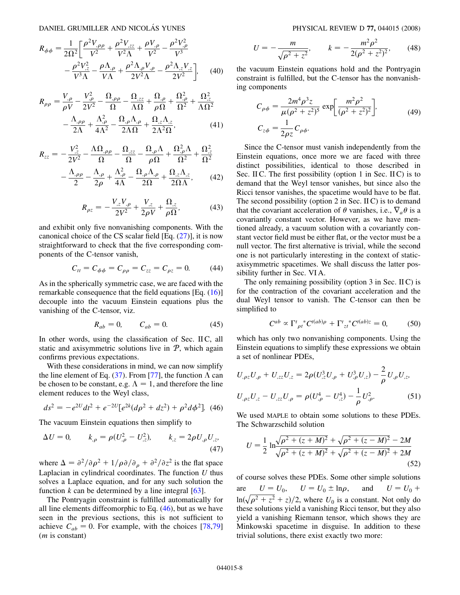$$
R_{\phi\phi} = \frac{1}{2\Omega^2} \left[ \frac{\rho^2 V_{,\rho\rho}}{V^2} + \frac{\rho^2 V_{,zz}}{V^2 \Lambda} + \frac{\rho V_{,\rho}}{V^2} - \frac{\rho^2 V_{,\rho}^2}{V^3} - \frac{\rho^2 V_{,z}^2}{V^3 \Lambda} - \frac{\rho \Lambda_{,\rho}}{V^3 \Lambda} + \frac{\rho^2 \Lambda_{,\rho} V_{,\rho}}{2V^2 \Lambda} - \frac{\rho^2 \Lambda_{,z} V_{,z}}{2V^2} \right], \quad (40)
$$

<span id="page-7-3"></span>
$$
R_{\rho\rho} = \frac{V_{,\rho}}{\rho V} - \frac{V_{,\rho}^2}{2V^2} - \frac{\Omega_{,\rho\rho}}{\Omega} - \frac{\Omega_{,zz}}{\Lambda\Omega} + \frac{\Omega_{,\rho}}{\rho\Omega} + \frac{\Omega_{,\rho}^2}{\Omega^2} + \frac{\Omega_{,z}^2}{\Lambda\Omega^2}
$$

$$
- \frac{\Lambda_{,\rho\rho}}{2\Lambda} + \frac{\Lambda_{,\rho}^2}{4\Lambda^2} - \frac{\Omega_{,\rho}\Lambda_{,\rho}}{2\Lambda\Omega} + \frac{\Omega_{,z}\Lambda_{,z}}{2\Lambda^2\Omega},
$$
(41)

<span id="page-7-2"></span>
$$
R_{zz} = -\frac{V_{,z}^2}{2V^2} - \frac{\Lambda \Omega_{,\rho\rho}}{\Omega} - \frac{\Omega_{,zz}}{\Omega} - \frac{\Omega_{,\rho}\Lambda}{\rho\Omega} + \frac{\Omega_{,\rho}^2 \Lambda}{\Omega^2} + \frac{\Omega_{,z}^2}{\Omega^2}
$$

$$
-\frac{\Lambda_{,\rho\rho}}{2} - \frac{\Lambda_{,\rho}}{2\rho} + \frac{\Lambda_{,\rho}^2}{4\Lambda} - \frac{\Omega_{,\rho}\Lambda_{,\rho}}{2\Omega} + \frac{\Omega_{,z}\Lambda_{,z}}{2\Omega\Lambda}, \tag{42}
$$

$$
R_{\rho z} = -\frac{V_{,z}V_{,\rho}}{2V^2} + \frac{V_{,z}}{2\rho V} + \frac{\Omega_{,z}}{\rho \Omega},\tag{43}
$$

<span id="page-7-1"></span>and exhibit only five nonvanishing components. With the canonical choice of the CS scalar field [Eq. ([27](#page-5-1))], it is now straightforward to check that the five corresponding components of the C-tensor vanish,

$$
C_{tt} = C_{\phi\phi} = C_{\rho\rho} = C_{zz} = C_{\rho z} = 0. \tag{44}
$$

As in the spherically symmetric case, we are faced with the remarkable consequence that the field equations [Eq. ([16](#page-3-3))] decouple into the vacuum Einstein equations plus the vanishing of the C-tensor, viz.

$$
R_{ab} = 0, \t C_{ab} = 0. \t (45)
$$

In other words, using the classification of Sec. II C, all static and axisymmetric solutions live in  $P$ , which again confirms previous expectations.

With these considerations in mind, we can now simplify the line element of Eq. ([37](#page-6-1)). From [\[77\]](#page-19-13), the function  $\Lambda$  can be chosen to be constant, e.g.  $\Lambda = 1$ , and therefore the line element reduces to the Weyl class,

<span id="page-7-0"></span>
$$
ds^{2} = -e^{2U}dt^{2} + e^{-2U}[e^{2k}(d\rho^{2} + dz^{2}) + \rho^{2}d\phi^{2}].
$$
 (46)

<span id="page-7-4"></span>The vacuum Einstein equations then simplify to

$$
\Delta U = 0, \qquad k_{,\rho} = \rho (U_{,\rho}^2 - U_{,z}^2), \qquad k_{,z} = 2\rho U_{,\rho} U_{,z}, \tag{47}
$$

where  $\Delta = \frac{\partial^2}{\partial \rho^2} + \frac{1}{\rho \partial \rho \partial \rho} + \frac{\partial^2}{\partial z^2}$  is the flat space Laplacian in cylindrical coordinates. The function *U* thus solves a Laplace equation, and for any such solution the function  $k$  can be determined by a line integral  $[63]$ .

The Pontryagin constraint is fulfilled automatically for all line elements diffeomorphic to Eq. ([46\)](#page-7-0), but as we have seen in the previous sections, this is not sufficient to achieve  $C_{ab} = 0$ . For example, with the choices [\[78](#page-19-14)[,79\]](#page-19-15) (*m* is constant)

$$
U = -\frac{m}{\sqrt{\rho^2 + z^2}}, \qquad k = -\frac{m^2 \rho^2}{2(\rho^2 + z^2)^2}, \qquad (48)
$$

the vacuum Einstein equations hold and the Pontryagin constraint is fulfilled, but the C-tensor has the nonvanishing components

$$
C_{\rho\phi} = \frac{2m^4 \rho^3 z}{\mu(\rho^2 + z^2)^5} \exp\left[\frac{m^2 \rho^2}{(\rho^2 + z^2)^2}\right],
$$
  
\n
$$
C_{z\phi} = \frac{1}{2\rho z} C_{\rho\phi}.
$$
\n(49)

Since the C-tensor must vanish independently from the Einstein equations, once more we are faced with three distinct possibilities, identical to those described in Sec. II C. The first possibility (option 1 in Sec. II C) is to demand that the Weyl tensor vanishes, but since also the Ricci tensor vanishes, the spacetime would have to be flat. The second possibility (option 2 in Sec. II C) is to demand that the covariant acceleration of  $\theta$  vanishes, i.e.,  $\nabla_a \theta$  is a covariantly constant vector. However, as we have mentioned already, a vacuum solution with a covariantly constant vector field must be either flat, or the vector must be a null vector. The first alternative is trivial, while the second one is not particularly interesting in the context of staticaxisymmetric spacetimes. We shall discuss the latter possibility further in Sec. VI A.

The only remaining possibility (option 3 in Sec. II C) is for the contraction of the covariant acceleration and the dual Weyl tensor to vanish. The C-tensor can then be simplified to

$$
C^{ab} \propto \Gamma^t_{\rho t}{}^* C^{t(ab)\rho} + \Gamma^t_{zt}{}^* C^{t(ab)z} = 0, \quad (50)
$$

which has only two nonvanishing components. Using the Einstein equations to simplify these expressions we obtain a set of nonlinear PDEs,

$$
U_{,\rho z}U_{,\rho} + U_{,zz}U_{,z} = 2\rho (U_{,z}^{3}U_{,\rho} + U_{,\rho}^{3}U_{,z}) - \frac{2}{\rho}U_{,\rho}U_{,z},
$$
  

$$
U_{,\rho z}U_{,z} - U_{,zz}U_{,\rho} = \rho (U_{,\rho}^{4} - U_{,z}^{4}) - \frac{1}{\rho}U_{,\rho}^{2}.
$$
 (51)

We used MAPLE to obtain some solutions to these PDEs. The Schwarzschild solution

$$
U = \frac{1}{2} \ln \frac{\sqrt{\rho^2 + (z + M)^2} + \sqrt{\rho^2 + (z - M)^2} - 2M}{\sqrt{\rho^2 + (z + M)^2} + \sqrt{\rho^2 + (z - M)^2} + 2M}
$$
(52)

of course solves these PDEs. Some other simple solutions are  $U = U_0$ ,  $U = U_0 \pm \ln \rho$ , and  $U = U_0 + \rho$  $\ln(\sqrt{\rho^2 + z^2} + z)/2$ , where  $U_0$  is a constant. Not only do --------------these solutions yield a vanishing Ricci tensor, but they also yield a vanishing Riemann tensor, which shows they are Minkowski spacetime in disguise. In addition to these trivial solutions, there exist exactly two more: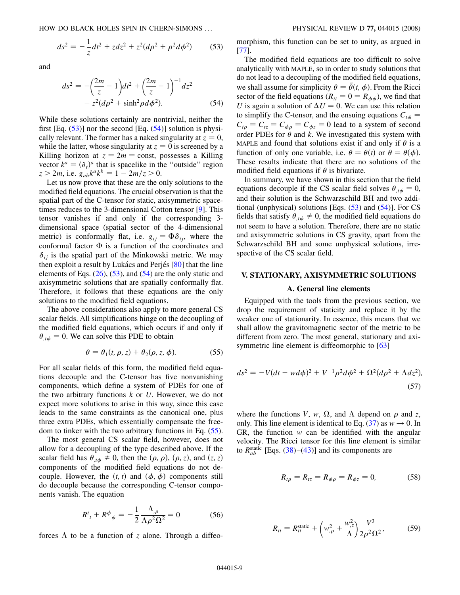<span id="page-8-0"></span>
$$
ds^{2} = -\frac{1}{z}dt^{2} + zdz^{2} + z^{2}(d\rho^{2} + \rho^{2}d\phi^{2})
$$
 (53)

<span id="page-8-1"></span>and

$$
ds^{2} = -\left(\frac{2m}{z} - 1\right)dt^{2} + \left(\frac{2m}{z} - 1\right)^{-1}dz^{2} + z^{2}(d\rho^{2} + \sinh^{2}\rho d\phi^{2}).
$$
 (54)

While these solutions certainly are nontrivial, neither the first [Eq.  $(53)$ ] nor the second [Eq.  $(54)$ ] solution is physically relevant. The former has a naked singularity at  $z = 0$ , while the latter, whose singularity at  $z = 0$  is screened by a Killing horizon at  $z = 2m = \text{const}$ , possesses a Killing vector  $k^a = (\partial_t)^a$  that is spacelike in the "outside" region  $z > 2m$ , i.e.  $g_{ab}k^a k^b = 1 - 2m/z > 0$ .

Let us now prove that these are the only solutions to the modified field equations. The crucial observation is that the spatial part of the C-tensor for static, axisymmetric spacetimes reduces to the 3-dimensional Cotton tensor [\[9\]](#page-18-1). This tensor vanishes if and only if the corresponding 3 dimensional space (spatial sector of the 4-dimensional metric) is conformally flat, i.e.  $g_{ii} = \Phi \delta_{ii}$ , where the conformal factor  $\Phi$  is a function of the coordinates and  $\delta_{ij}$  is the spatial part of the Minkowski metric. We may then exploit a result by Lukács and Perjés  $[80]$  that the line elements of Eqs.  $(26)$  $(26)$ ,  $(53)$ , and  $(54)$  are the only static and axisymmetric solutions that are spatially conformally flat. Therefore, it follows that these equations are the only solutions to the modified field equations.

<span id="page-8-2"></span>The above considerations also apply to more general CS scalar fields. All simplifications hinge on the decoupling of the modified field equations, which occurs if and only if  $\theta_{,t\phi} = 0$ . We can solve this PDE to obtain

$$
\theta = \theta_1(t, \rho, z) + \theta_2(\rho, z, \phi). \tag{55}
$$

For all scalar fields of this form, the modified field equations decouple and the C-tensor has five nonvanishing components, which define a system of PDEs for one of the two arbitrary functions *k* or *U*. However, we do not expect more solutions to arise in this way, since this case leads to the same constraints as the canonical one, plus three extra PDEs, which essentially compensate the freedom to tinker with the two arbitrary functions in Eq. ([55\)](#page-8-2).

The most general CS scalar field, however, does not allow for a decoupling of the type described above. If the scalar field has  $\theta_{,t\phi} \neq 0$ , then the  $(\rho, \rho)$ ,  $(\rho, z)$ , and  $(z, z)$ components of the modified field equations do not decouple. However, the  $(t, t)$  and  $(\phi, \phi)$  components still do decouple because the corresponding C-tensor components vanish. The equation

$$
R^{t}_{t} + R^{\phi}{}_{\phi} = -\frac{1}{2} \frac{\Lambda_{,\rho}}{\Lambda \rho^{2} \Omega^{2}} = 0
$$
 (56)

forces  $\Lambda$  to be a function of *z* alone. Through a diffeo-

morphism, this function can be set to unity, as argued in [\[77\]](#page-19-13).

The modified field equations are too difficult to solve analytically with MAPLE, so in order to study solutions that do not lead to a decoupling of the modified field equations, we shall assume for simplicity  $\theta = \tilde{\theta}(t, \phi)$ . From the Ricci sector of the field equations ( $R<sub>tt</sub> = 0 = R<sub>ab</sub>$ ), we find that *U* is again a solution of  $\Delta U = 0$ . We can use this relation to simplify the C-tensor, and the ensuing equations  $C_{t\phi}$  =  $C_{t\rho} = C_{t\overline{z}} = C_{\phi\rho} = C_{\phi z} = 0$  lead to a system of second order PDEs for  $\theta$  and  $k$ . We investigated this system with MAPLE and found that solutions exist if and only if  $\theta$  is a function of only one variable, i.e.  $\theta = \theta(t)$  or  $\theta = \theta(\phi)$ . These results indicate that there are no solutions of the modified field equations if  $\theta$  is bivariate.

In summary, we have shown in this section that the field equations decouple if the CS scalar field solves  $\theta_{,t\phi} = 0$ , and their solution is the Schwarzschild BH and two additional (unphysical) solutions [Eqs.  $(53)$  and  $(54)$ ]. For CS fields that satisfy  $\theta_{,t\phi} \neq 0$ , the modified field equations do not seem to have a solution. Therefore, there are no static and axisymmetric solutions in CS gravity, apart from the Schwarzschild BH and some unphysical solutions, irrespective of the CS scalar field.

### **V. STATIONARY, AXISYMMETRIC SOLUTIONS**

#### **A. General line elements**

Equipped with the tools from the previous section, we drop the requirement of staticity and replace it by the weaker one of stationarity. In essence, this means that we shall allow the gravitomagnetic sector of the metric to be different from zero. The most general, stationary and axi-symmetric line element is diffeomorphic to [[63](#page-18-34)]

$$
ds^{2} = -V(dt - wd\phi)^{2} + V^{-1}\rho^{2}d\phi^{2} + \Omega^{2}(d\rho^{2} + \Lambda dz^{2}),
$$
\n(57)

<span id="page-8-3"></span>where the functions *V*, *w*,  $\Omega$ , and  $\Lambda$  depend on  $\rho$  and *z*, only. This line element is identical to Eq.  $(37)$  $(37)$  $(37)$  as  $w \rightarrow 0$ . In GR, the function *w* can be identified with the angular velocity. The Ricci tensor for this line element is similar to  $R_{ab}^{\text{static}}$  [Eqs. [\(38\)](#page-7-1)–[\(43](#page-7-2))] and its components are

$$
R_{t\rho} = R_{tz} = R_{\phi\rho} = R_{\phi z} = 0, \tag{58}
$$

$$
R_{tt} = R_{tt}^{\text{static}} + \left(w_{,\rho}^2 + \frac{w_{,z}^2}{\Lambda}\right) \frac{V^3}{2\rho^2 \Omega^2},\tag{59}
$$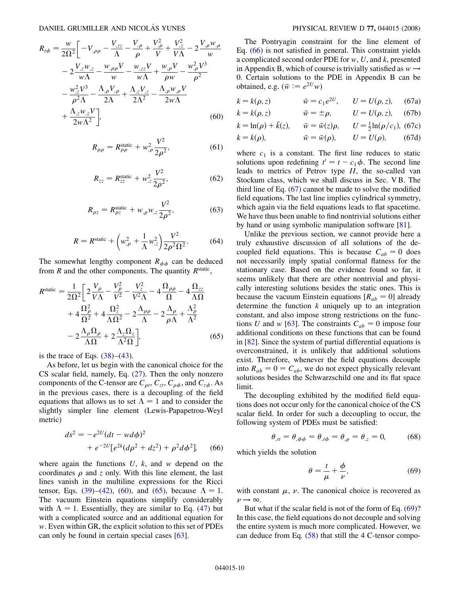$$
R_{t\phi} = \frac{w}{2\Omega^{2}} \left[ -V_{,\rho\rho} - \frac{V_{,zz}}{\Lambda} - \frac{V_{,\rho}}{\rho} + \frac{V_{,\rho}^{2}}{V} + \frac{V_{,z}^{2}}{V\Lambda} - 2\frac{V_{,\rho}w_{,\rho}}{w} \right]
$$
  

$$
- 2\frac{V_{,z}w_{,z}}{w\Lambda} - \frac{w_{,\rho\rho}V}{w} - \frac{w_{,zz}V}{w\Lambda} + \frac{w_{,\rho}V}{\rho w} - \frac{w_{,\rho}^{2}V^{3}}{\rho^{2}}
$$
  

$$
- \frac{w_{,z}^{2}V^{3}}{\rho^{2}\Lambda} - \frac{\Lambda_{,\rho}V_{,\rho}}{2\Lambda} + \frac{\Lambda_{,z}V_{,z}}{2\Lambda^{2}} - \frac{\Lambda_{,\rho}w_{,\rho}V}{2w\Lambda}
$$
  

$$
+ \frac{\Lambda_{,z}w_{,z}V}{2w\Lambda^{2}} \right],
$$
 (60)

$$
R_{\rho\rho} = R_{\rho\rho}^{\text{static}} + w_{,\rho}^2 \frac{V^2}{2\rho^2},
$$
 (61)

$$
R_{zz} = R_{zz}^{\text{static}} + w_{,z}^2 \frac{V^2}{2\rho^2},
$$
 (62)

$$
R_{\rho z} = R_{\rho z}^{\text{static}} + w_{,\rho} w_{,z} \frac{V^2}{2\rho^2},
$$
 (63)

$$
R = R^{\text{static}} + \left(w_{,\rho}^2 + \frac{1}{\Lambda}w_{,z}^2\right)\frac{V^2}{2\rho^2\Omega^2}.
$$
 (64)

<span id="page-9-4"></span><span id="page-9-0"></span>The somewhat lengthy component  $R_{\phi\phi}$  can be deduced from  $R$  and the other components. The quantity  $R^{\text{static}}$ ,

$$
R^{\text{static}} = \frac{1}{2\Omega^2} \left[ 2\frac{V_\rho}{V\Lambda} - \frac{V_\rho^2}{V^2} - \frac{V_z^2}{V^2\Lambda} - 4\frac{\Omega_{\rho\rho}}{\Omega} - 4\frac{\Omega_{zz}}{\Lambda\Omega} + 4\frac{\Omega_\rho^2}{\Omega^2} + 4\frac{\Omega_z^2}{\Lambda\Omega^2} - 2\frac{\Lambda_{\rho\rho}}{\Lambda} - 2\frac{\Lambda_\rho}{\rho\Lambda} + \frac{\Lambda_\rho^2}{\Lambda^2} - 2\frac{\Lambda_\rho\Omega_\rho}{\Lambda\Omega} + 2\frac{\Lambda_z\Omega_z}{\Lambda^2\Omega} \right]
$$
(65)

is the trace of Eqs.  $(38)$  $(38)$  $(38)$ – $(43)$  $(43)$ .

As before, let us begin with the canonical choice for the CS scalar field, namely, Eq. [\(27\)](#page-5-1). Then the only nonzero components of the C-tensor are  $C_{\rho t}$ ,  $C_{zt}$ ,  $C_{\rho \phi}$ , and  $C_{z\phi}$ . As in the previous cases, there is a decoupling of the field equations that allows us to set  $\Lambda = 1$  and to consider the slightly simpler line element (Lewis-Papapetrou-Weyl metric)

<span id="page-9-1"></span>
$$
ds^{2} = -e^{2U}(dt - wd\phi)^{2}
$$
  
+  $e^{-2U}[e^{2k}(d\rho^{2} + dz^{2}) + \rho^{2}d\phi^{2}],$  (66)

where again the functions *U*, *k*, and *w* depend on the coordinates  $\rho$  and  $\zeta$  only. With this line element, the last lines vanish in the multiline expressions for the Ricci tensor, Eqs. ([39](#page-6-2))–([42](#page-7-3)), ([60](#page-8-3)), and [\(65\)](#page-9-0), because  $\Lambda = 1$ . The vacuum Einstein equations simplify considerably with  $\Lambda = 1$ . Essentially, they are similar to Eq. ([47](#page-7-4)) but with a complicated source and an additional equation for *w*. Even within GR, the explicit solution to this set of PDEs can only be found in certain special cases [\[63\]](#page-18-34).

The Pontryagin constraint for the line element of Eq. [\(66\)](#page-9-1) is not satisfied in general. This constraint yields a complicated second order PDE for *w*, *U*, and *k*, presented in Appendix B, which of course is trivially satisfied as  $w \rightarrow$ 0. Certain solutions to the PDE in Appendix B can be obtained, e.g.  $(\bar{w} := e^{2U}w)$ 

<span id="page-9-2"></span>
$$
k = k(\rho, z)
$$
  $\bar{w} = c_1 e^{2U}, \qquad U = U(\rho, z),$  (67a)

$$
k = k(\rho, z) \qquad \qquad \bar{w} = \pm \rho, \qquad U = U(\rho, z), \quad (67b)
$$

$$
k = \ln(\rho) + \tilde{k}(z)
$$
,  $\bar{w} = \tilde{w}(z)\rho$ ,  $U = \frac{1}{2}\ln(\rho/c_1)$ , (67c)

$$
k = k(\rho), \qquad \qquad \bar{w} = \bar{w}(\rho), \qquad U = U(\rho), \qquad (67d)
$$

where  $c_1$  is a constant. The first line reduces to static solutions upon redefining  $t' = t - c_1 \phi$ . The second line leads to metrics of Petrov type *II*, the so-called van Stockum class, which we shall discuss in Sec. V B. The third line of Eq. [\(67\)](#page-9-2) cannot be made to solve the modified field equations. The last line implies cylindrical symmetry, which again via the field equations leads to flat spacetime. We have thus been unable to find nontrivial solutions either by hand or using symbolic manipulation software [[81](#page-19-17)].

Unlike the previous section, we cannot provide here a truly exhaustive discussion of all solutions of the decoupled field equations. This is because  $C_{ab} = 0$  does not necessarily imply spatial conformal flatness for the stationary case. Based on the evidence found so far, it seems unlikely that there are other nontrivial and physically interesting solutions besides the static ones. This is because the vacuum Einstein equations  $[R_{ab} = 0]$  already determine the function *k* uniquely up to an integration constant, and also impose strong restrictions on the functions *U* and *w* [\[63\]](#page-18-34). The constraints  $C_{ab} = 0$  impose four additional conditions on these functions that can be found in [\[82\]](#page-19-18). Since the system of partial differential equations is overconstrained, it is unlikely that additional solutions exist. Therefore, whenever the field equations decouple into  $R_{ab} = 0 = C_{ab}$ , we do not expect physically relevant solutions besides the Schwarzschild one and its flat space limit.

The decoupling exhibited by the modified field equations does not occur only for the canonical choice of the CS scalar field. In order for such a decoupling to occur, the following system of PDEs must be satisfied:

$$
\theta_{,tt} = \theta_{,\phi\phi} = \theta_{,t\phi} = \theta_{,\rho} = \theta_{,z} = 0,
$$
\n(68)

<span id="page-9-3"></span>which yields the solution

$$
\theta = \frac{t}{\mu} + \frac{\phi}{\nu},\tag{69}
$$

with constant  $\mu$ ,  $\nu$ . The canonical choice is recovered as  $\nu \rightarrow \infty$ 

But what if the scalar field is not of the form of Eq. [\(69\)](#page-9-3)? In this case, the field equations do not decouple and solving the entire system is much more complicated. However, we can deduce from Eq. ([58](#page-9-4)) that still the 4 C-tensor compo-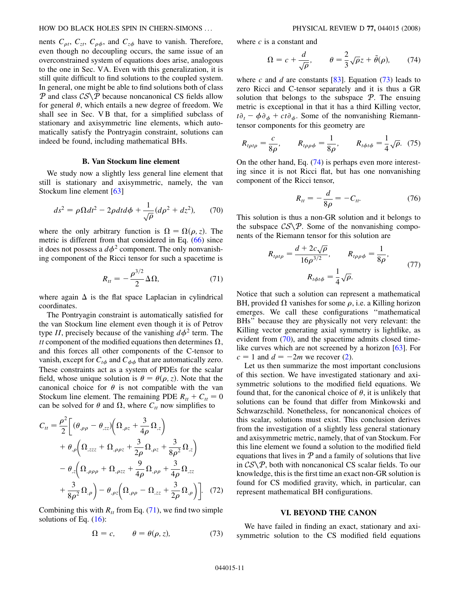nents  $C_{\rho t}$ ,  $C_{zt}$ ,  $C_{\rho \phi}$ , and  $C_{z\phi}$  have to vanish. Therefore, even though no decoupling occurs, the same issue of an overconstrained system of equations does arise, analogous to the one in Sec. VA. Even with this generalization, it is still quite difficult to find solutions to the coupled system. In general, one might be able to find solutions both of class P and class  $CS\$ P because noncanonical CS fields allow for general  $\theta$ , which entails a new degree of freedom. We shall see in Sec. VB that, for a simplified subclass of stationary and axisymmetric line elements, which automatically satisfy the Pontryagin constraint, solutions can indeed be found, including mathematical BHs.

## **B. Van Stockum line element**

We study now a slightly less general line element that still is stationary and axisymmetric, namely, the van Stockum line element [[63](#page-18-34)]

<span id="page-10-3"></span>
$$
ds^2 = \rho \Omega dt^2 - 2\rho dt d\phi + \frac{1}{\sqrt{\rho}} (d\rho^2 + dz^2), \qquad (70)
$$

<span id="page-10-0"></span>where the only arbitrary function is  $\Omega = \Omega(\rho, z)$ . The metric is different from that considered in Eq. ([66](#page-9-1)) since it does not possess a  $d\phi^2$  component. The only nonvanishing component of the Ricci tensor for such a spacetime is

$$
R_{tt} = -\frac{\rho^{3/2}}{2} \Delta \Omega, \tag{71}
$$

where again  $\Delta$  is the flat space Laplacian in cylindrical coordinates.

The Pontryagin constraint is automatically satisfied for the van Stockum line element even though it is of Petrov type *II*, precisely because of the vanishing  $d\phi^2$  term. The *tt* component of the modified equations then determines  $\Omega$ , and this forces all other components of the C-tensor to vanish, except for  $C_{t\phi}$  and  $C_{\phi\phi}$  that are automatically zero. These constraints act as a system of PDEs for the scalar field, whose unique solution is  $\theta = \theta(\rho, z)$ . Note that the canonical choice for  $\theta$  is not compatible with the van Stockum line element. The remaining PDE  $R_{tt} + C_{tt} = 0$ can be solved for  $\theta$  and  $\Omega$ , where  $C_{tt}$  now simplifies to

$$
C_{tt} = \frac{\rho^2}{2} \bigg[ (\theta_{,\rho\rho} - \theta_{,zz}) \bigg( \Omega_{,\rho z} + \frac{3}{4\rho} \Omega_{,z} \bigg) + \theta_{,\rho} \bigg( \Omega_{,zzz} + \Omega_{,\rho\rho z} + \frac{3}{2\rho} \Omega_{,\rho z} + \frac{3}{8\rho^2} \Omega_{,z} \bigg) - \theta_{,z} \bigg( \Omega_{,\rho\rho\rho} + \Omega_{,\rho zz} + \frac{9}{4\rho} \Omega_{,\rho\rho} + \frac{3}{4\rho} \Omega_{,zz} + \frac{3}{8\rho^2} \Omega_{,\rho} \bigg) - \theta_{,\rho z} \bigg( \Omega_{,\rho\rho} - \Omega_{,zz} + \frac{3}{2\rho} \Omega_{,\rho} \bigg) \bigg].
$$
 (72)

<span id="page-10-1"></span>Combining this with  $R_{tt}$  from Eq. [\(71\)](#page-10-0), we find two simple solutions of Eq.  $(16)$ :

$$
\Omega = c, \qquad \theta = \theta(\rho, z), \tag{73}
$$

<span id="page-10-2"></span>where *c* is a constant and

$$
\Omega = c + \frac{d}{\sqrt{\rho}}, \qquad \theta = \frac{2}{3}\sqrt{\rho}z + \tilde{\theta}(\rho), \qquad (74)
$$

where *c* and *d* are constants  $[83]$  $[83]$  $[83]$ . Equation [\(73\)](#page-10-1) leads to zero Ricci and C-tensor separately and it is thus a GR solution that belongs to the subspace  $P$ . The ensuing metric is exceptional in that it has a third Killing vector,  $t\partial_t - \phi \partial_\phi + ct\partial_\phi$ . Some of the nonvanishing Riemanntensor components for this geometry are

$$
R_{t\rho t\rho} = \frac{c}{8\rho}, \qquad R_{t\rho\rho\phi} = \frac{1}{8\rho}, \qquad R_{t\phi t\phi} = \frac{1}{4}\sqrt{\rho}. \tag{75}
$$

On the other hand, Eq. ([74](#page-10-2)) is perhaps even more interesting since it is not Ricci flat, but has one nonvanishing component of the Ricci tensor,

$$
R_{tt} = -\frac{d}{8\rho} = -C_{tt}.
$$
 (76)

This solution is thus a non-GR solution and it belongs to the subspace  $CS\$ *P*. Some of the nonvanishing components of the Riemann tensor for this solution are

$$
R_{t\rho t\rho} = \frac{d + 2c\sqrt{\rho}}{16\rho^{3/2}}, \qquad R_{t\rho\rho\phi} = \frac{1}{8\rho},
$$
  

$$
R_{t\phi t\phi} = \frac{1}{4}\sqrt{\rho}.
$$
 (77)

Notice that such a solution can represent a mathematical BH, provided  $\Omega$  vanishes for some  $\rho$ , i.e. a Killing horizon emerges. We call these configurations ''mathematical BHs'' because they are physically not very relevant: the Killing vector generating axial symmetry is lightlike, as evident from [\(70\)](#page-10-3), and the spacetime admits closed timelike curves which are not screened by a horizon [[63](#page-18-34)]. For  $c = 1$  and  $d = -2m$  we recover [\(2\)](#page-1-1).

Let us then summarize the most important conclusions of this section. We have investigated stationary and axisymmetric solutions to the modified field equations. We found that, for the canonical choice of  $\theta$ , it is unlikely that solutions can be found that differ from Minkowski and Schwarzschild. Nonetheless, for noncanonical choices of this scalar, solutions must exist. This conclusion derives from the investigation of a slightly less general stationary and axisymmetric metric, namely, that of van Stockum. For this line element we found a solution to the modified field equations that lives in  $P$  and a family of solutions that live in  $CS\$ P, both with noncanonical CS scalar fields. To our knowledge, this is the first time an exact non-GR solution is found for CS modified gravity, which, in particular, can represent mathematical BH configurations.

### **VI. BEYOND THE CANON**

We have failed in finding an exact, stationary and axisymmetric solution to the CS modified field equations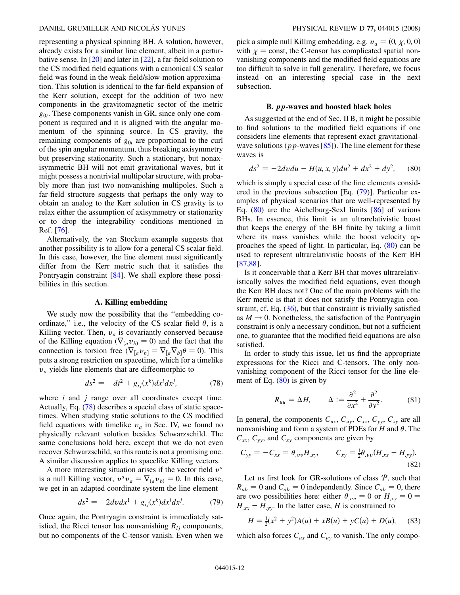representing a physical spinning BH. A solution, however, already exists for a similar line element, albeit in a perturbative sense. In [[20](#page-18-10)] and later in [[22](#page-18-13)], a far-field solution to the CS modified field equations with a canonical CS scalar field was found in the weak-field/slow-motion approximation. This solution is identical to the far-field expansion of the Kerr solution, except for the addition of two new components in the gravitomagnetic sector of the metric *g*0*i*. These components vanish in GR, since only one component is required and it is aligned with the angular momentum of the spinning source. In CS gravity, the remaining components of  $g_{0i}$  are proportional to the curl of the spin angular momentum, thus breaking axisymmetry but preserving stationarity. Such a stationary, but nonaxisymmetric BH will not emit gravitational waves, but it might possess a nontrivial multipolar structure, with probably more than just two nonvanishing multipoles. Such a far-field structure suggests that perhaps the only way to obtain an analog to the Kerr solution in CS gravity is to relax either the assumption of axisymmetry or stationarity or to drop the integrability conditions mentioned in Ref. [\[76\]](#page-19-12).

Alternatively, the van Stockum example suggests that another possibility is to allow for a general CS scalar field. In this case, however, the line element must significantly differ from the Kerr metric such that it satisfies the Pontryagin constraint [\[84\]](#page-19-20). We shall explore these possibilities in this section.

## **A. Killing embedding**

We study now the possibility that the ''embedding coordinate," i.e., the velocity of the CS scalar field  $\theta$ , is a Killing vector. Then,  $v_a$  is covariantly conserved because of the Killing equation ( $\nabla_{(a} v_{b)} = 0$ ) and the fact that the connection is torsion free  $(\nabla_{[a}v_{b]} = \nabla_{[a}\nabla_{b]} \theta = 0)$ . This puts a strong restriction on spacetime, which for a timelike  $v_a$  yields line elements that are diffeomorphic to

$$
ds^2 = -dt^2 + g_{ij}(x^k)dx^i dx^j,
$$
 (78)

<span id="page-11-0"></span>where *i* and *j* range over all coordinates except time. Actually, Eq. [\(78\)](#page-11-0) describes a special class of static spacetimes. When studying static solutions to the CS modified field equations with timelike  $v_a$  in Sec. IV, we found no physically relevant solution besides Schwarzschild. The same conclusions hold here, except that we do not even recover Schwarzschild, so this route is not a promising one. A similar discussion applies to spacelike Killing vectors.

A more interesting situation arises if the vector field  $v^a$ is a null Killing vector,  $v^a v_a = \nabla_{(a} v_{b)} = 0$ . In this case, we get in an adapted coordinate system the line element

$$
ds^{2} = -2dv dx^{1} + g_{ij}(x^{k})dx^{i}dx^{j}.
$$
 (79)

<span id="page-11-1"></span>Once again, the Pontryagin constraint is immediately satisfied, the Ricci tensor has nonvanishing  $R_{ij}$  components, but no components of the C-tensor vanish. Even when we

pick a simple null Killing embedding, e.g.  $v_a = (0, \chi, 0, 0)$ with  $\chi$  = const, the C-tensor has complicated spatial nonvanishing components and the modified field equations are too difficult to solve in full generality. Therefore, we focus instead on an interesting special case in the next subsection.

#### **B.** *pp***-waves and boosted black holes**

As suggested at the end of Sec. II B, it might be possible to find solutions to the modified field equations if one considers line elements that represent exact gravitationalwave solutions (*pp*-waves [\[85\]](#page-19-21)). The line element for these waves is

<span id="page-11-2"></span>
$$
ds^{2} = -2dvdu - H(u, x, y)du^{2} + dx^{2} + dy^{2}, \quad (80)
$$

which is simply a special case of the line elements considered in the previous subsection [Eq. [\(79\)](#page-11-1)]. Particular examples of physical scenarios that are well-represented by Eq. [\(80\)](#page-11-2) are the Aichelburg-Sexl limits [\[86\]](#page-19-22) of various BHs. In essence, this limit is an ultrarelativistic boost that keeps the energy of the BH finite by taking a limit where its mass vanishes while the boost velocity approaches the speed of light. In particular, Eq. ([80](#page-11-2)) can be used to represent ultrarelativistic boosts of the Kerr BH [\[87](#page-19-23)[,88\]](#page-19-24).

Is it conceivable that a Kerr BH that moves ultrarelativistically solves the modified field equations, even though the Kerr BH does not? One of the main problems with the Kerr metric is that it does not satisfy the Pontryagin constraint, cf. Eq. [\(36\)](#page-6-0), but that constraint is trivially satisfied as  $M \rightarrow 0$ . Nonetheless, the satisfaction of the Pontryagin constraint is only a necessary condition, but not a sufficient one, to guarantee that the modified field equations are also satisfied.

In order to study this issue, let us find the appropriate expressions for the Ricci and C-tensors. The only nonvanishing component of the Ricci tensor for the line element of Eq.  $(80)$  $(80)$  is given by

$$
R_{uu} = \Delta H, \qquad \Delta := \frac{\partial^2}{\partial x^2} + \frac{\partial^2}{\partial y^2}.
$$
 (81)

In general, the components  $C_{ux}$ ,  $C_{uy}$ ,  $C_{xx}$ ,  $C_{yy}$ ,  $C_{xy}$  are all nonvanishing and form a system of PDEs for  $H$  and  $\theta$ . The  $C_{xx}$ ,  $C_{yy}$ , and  $C_{xy}$  components are given by

$$
C_{yy} = -C_{xx} = \theta_{,vv} H_{,xy}, \qquad C_{xy} = \frac{1}{2} \theta_{,vv} (H_{,xx} - H_{,yy}).
$$
\n(82)

Let us first look for GR-solutions of class  $P$ , such that  $R_{ab} = 0$  and  $C_{ab} = 0$  independently. Since  $C_{ab} = 0$ , there are two possibilities here: either  $\theta_{,vv} = 0$  or  $H_{,xy} = 0$  =  $H_{xx} - H_{yy}$ . In the latter case, *H* is constrained to

<span id="page-11-3"></span>
$$
H = \frac{1}{2}(x^2 + y^2)A(u) + xB(u) + yC(u) + D(u), \quad (83)
$$

which also forces  $C_{ux}$  and  $C_{uy}$  to vanish. The only compo-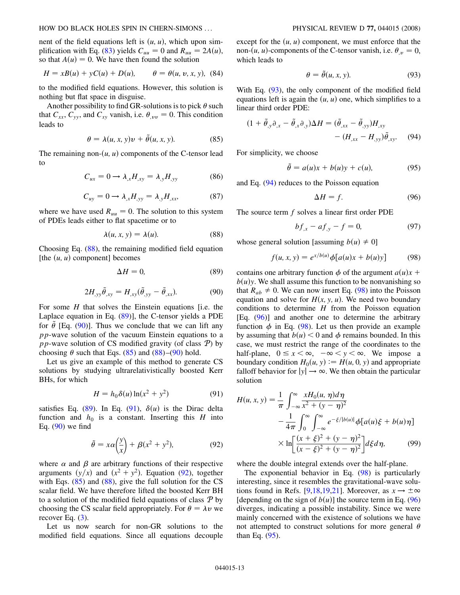nent of the field equations left is  $(u, u)$ , which upon sim-plification with Eq. [\(83\)](#page-11-3) yields  $C_{uu} = 0$  and  $R_{uu} = 2A(u)$ , so that  $A(u) = 0$ . We have then found the solution

$$
H = xB(u) + yC(u) + D(u), \qquad \theta = \theta(u, v, x, y), \quad (84)
$$

to the modified field equations. However, this solution is nothing but flat space in disguise.

<span id="page-12-3"></span>Another possibility to find GR-solutions is to pick  $\theta$  such that  $C_{xx}$ ,  $C_{yy}$ , and  $C_{xy}$  vanish, i.e.  $\theta_{,vv} = 0$ . This condition leads to

$$
\theta = \lambda(u, x, y)v + \tilde{\theta}(u, x, y). \tag{85}
$$

The remaining non- $(u, u)$  components of the C-tensor lead to

$$
C_{ux} = 0 \longrightarrow \lambda_{,x} H_{,xy} = \lambda_{,y} H_{,yy} \tag{86}
$$

$$
C_{uy} = 0 \longrightarrow \lambda_{,x} H_{,yy} = \lambda_{,y} H_{,xx}, \tag{87}
$$

<span id="page-12-0"></span>where we have used  $R_{uu} = 0$ . The solution to this system of PDEs leads either to flat spacetime or to

$$
\lambda(u, x, y) = \lambda(u). \tag{88}
$$

<span id="page-12-2"></span>Choosing Eq. [\(88\)](#page-12-0), the remaining modified field equation [the  $(u, u)$  component] becomes

$$
\Delta H = 0,\tag{89}
$$

$$
2H_{,yy}\tilde{\theta}_{,xy}=H_{,xy}(\tilde{\theta}_{,yy}-\tilde{\theta}_{,xx}).
$$
\n(90)

<span id="page-12-1"></span>For some *H* that solves the Einstein equations *fi.e.* the Laplace equation in Eq. [\(89\)](#page-12-1)], the C-tensor yields a PDE for  $\tilde{\theta}$  [Eq. [\(90\)](#page-12-2)]. Thus we conclude that we can lift any *pp*-wave solution of the vacuum Einstein equations to a *pp*-wave solution of CS modified gravity (of class  $\mathcal{P}$ ) by choosing  $\theta$  such that Eqs. [\(85\)](#page-12-3) and [\(88](#page-12-0))–([90](#page-12-2)) hold.

<span id="page-12-4"></span>Let us give an example of this method to generate CS solutions by studying ultrarelativistically boosted Kerr BHs, for which

$$
H = h_0 \delta(u) \ln(x^2 + y^2)
$$
 (91)

<span id="page-12-5"></span>satisfies Eq. [\(89\)](#page-12-1). In Eq. ([91](#page-12-4)),  $\delta(u)$  is the Dirac delta function and  $h_0$  is a constant. Inserting this  $H$  into Eq. ([90](#page-12-2)) we find

$$
\tilde{\theta} = x\alpha \left(\frac{y}{x}\right) + \beta (x^2 + y^2),\tag{92}
$$

where  $\alpha$  and  $\beta$  are arbitrary functions of their respective arguments  $(y/x)$  and  $(x^2 + y^2)$ . Equation [\(92](#page-12-5)), together with Eqs.  $(85)$  and  $(88)$  $(88)$ , give the full solution for the CS scalar field. We have therefore lifted the boosted Kerr BH to a solution of the modified field equations of class  $\mathcal{P}$  by choosing the CS scalar field appropriately. For  $\theta = \lambda v$  we recover Eq.  $(3)$  $(3)$ .

Let us now search for non-GR solutions to the modified field equations. Since all equations decouple

<span id="page-12-6"></span>except for the  $(u, u)$  component, we must enforce that the non-(*u*, *u*)-components of the C-tensor vanish, i.e.  $\theta_{,v} = 0$ , which leads to

$$
\theta = \tilde{\theta}(u, x, y). \tag{93}
$$

With Eq. [\(93\)](#page-12-6), the only component of the modified field equations left is again the  $(u, u)$  one, which simplifies to a linear third order PDE:

<span id="page-12-7"></span>
$$
(1 + \tilde{\theta}_{,y}\partial_{,x} - \tilde{\theta}_{,x}\partial_{,y})\Delta H = (\tilde{\theta}_{,xx} - \tilde{\theta}_{,yy})H_{,xy}
$$

$$
- (H_{,xx} - H_{,yy})\tilde{\theta}_{,xy}.
$$
(94)

<span id="page-12-10"></span>For simplicity, we choose

$$
\tilde{\theta} = a(u)x + b(u)y + c(u), \tag{95}
$$

<span id="page-12-9"></span>and Eq. ([94](#page-12-7)) reduces to the Poisson equation

$$
\Delta H = f. \tag{96}
$$

The source term *f* solves a linear first order PDE

$$
bf_{,x} - af_{,y} - f = 0,\t\t(97)
$$

<span id="page-12-8"></span>whose general solution [assuming  $b(u) \neq 0$ ]

$$
f(u, x, y) = e^{x/b(u)} \phi[a(u)x + b(u)y]
$$
 (98)

contains one arbitrary function  $\phi$  of the argument  $a(u)x$  +  $b(u)y$ . We shall assume this function to be nonvanishing so that  $R_{ab} \neq 0$ . We can now insert Eq. ([98](#page-12-8)) into the Poisson equation and solve for  $H(x, y, u)$ . We need two boundary conditions to determine *H* from the Poisson equation [Eq. ([96](#page-12-9))] and another one to determine the arbitrary function  $\phi$  in Eq. [\(98\)](#page-12-8). Let us then provide an example by assuming that  $b(u) < 0$  and  $\phi$  remains bounded. In this case, we must restrict the range of the coordinates to the half-plane,  $0 \le x < \infty$ ,  $-\infty < y < \infty$ . We impose a boundary condition  $H_0(u, y) := H(u, 0, y)$  and appropriate falloff behavior for  $|y| \rightarrow \infty$ . We then obtain the particular solution

<span id="page-12-11"></span>
$$
H(u, x, y) = \frac{1}{\pi} \int_{-\infty}^{\infty} \frac{xH_0(u, \eta)d\eta}{x^2 + (y - \eta)^2} - \frac{1}{4\pi} \int_{0}^{\infty} \int_{-\infty}^{\infty} e^{-\xi/|b(u)|} \phi[a(u)\xi + b(u)\eta] \times \ln \left[ \frac{(x + \xi)^2 + (y - \eta)^2}{(x - \xi)^2 + (y - \eta)^2} \right] d\xi d\eta, \tag{99}
$$

where the double integral extends over the half-plane.

The exponential behavior in Eq. ([98](#page-12-8)) is particularly interesting, since it resembles the gravitational-wave solu-tions found in Refs. [[9](#page-18-1),[18](#page-18-9),[19](#page-18-12),[21](#page-18-11)]. Moreover, as  $x \to \pm \infty$ [depending on the sign of  $b(u)$ ] the source term in Eq. [\(96\)](#page-12-9) diverges, indicating a possible instability. Since we were mainly concerned with the existence of solutions we have not attempted to construct solutions for more general  $\theta$ than Eq. ([95](#page-12-10)).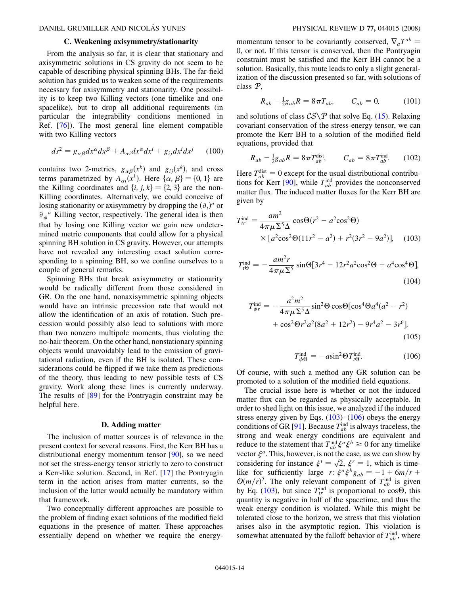### **C. Weakening axisymmetry/stationarity**

From the analysis so far, it is clear that stationary and axisymmetric solutions in CS gravity do not seem to be capable of describing physical spinning BHs. The far-field solution has guided us to weaken some of the requirements necessary for axisymmetry and stationarity. One possibility is to keep two Killing vectors (one timelike and one spacelike), but to drop all additional requirements (in particular the integrability conditions mentioned in Ref. [[76](#page-19-12)]). The most general line element compatible with two Killing vectors

<span id="page-13-3"></span>
$$
ds^{2} = g_{\alpha\beta}dx^{\alpha}dx^{\beta} + A_{\alpha i}dx^{\alpha}dx^{i} + g_{ij}dx^{i}dx^{j} \qquad (100)
$$

contains two 2-metrics,  $g_{\alpha\beta}(x^k)$  and  $g_{ij}(x^k)$ , and cross terms parametrized by  $A_{\alpha i}(x^k)$ . Here  $\{\alpha, \beta\} = \{0, 1\}$  are the Killing coordinates and  $\{i, j, k\} = \{2, 3\}$  are the non-Killing coordinates. Alternatively, we could conceive of losing stationarity or axisymmetry by dropping the  $(\partial_t)^a$  or  $\partial_{\phi}^a$  Killing vector, respectively. The general idea is then that by losing one Killing vector we gain new undetermined metric components that could allow for a physical spinning BH solution in CS gravity. However, our attempts have not revealed any interesting exact solution corresponding to a spinning BH, so we confine ourselves to a couple of general remarks.

Spinning BHs that break axisymmetry or stationarity would be radically different from those considered in GR. On the one hand, nonaxisymmetric spinning objects would have an intrinsic precession rate that would not allow the identification of an axis of rotation. Such precession would possibly also lead to solutions with more than two nonzero multipole moments, thus violating the no-hair theorem. On the other hand, nonstationary spinning objects would unavoidably lead to the emission of gravitational radiation, even if the BH is isolated. These considerations could be flipped if we take them as predictions of the theory, thus leading to new possible tests of CS gravity. Work along these lines is currently underway. The results of [\[89\]](#page-19-25) for the Pontryagin constraint may be helpful here.

#### **D. Adding matter**

The inclusion of matter sources is of relevance in the present context for several reasons. First, the Kerr BH has a distributional energy momentum tensor [\[90\]](#page-19-26), so we need not set the stress-energy tensor strictly to zero to construct a Kerr-like solution. Second, in Ref. [[17](#page-18-8)] the Pontryagin term in the action arises from matter currents, so the inclusion of the latter would actually be mandatory within that framework.

Two conceptually different approaches are possible to the problem of finding exact solutions of the modified field equations in the presence of matter. These approaches essentially depend on whether we require the energymomentum tensor to be covariantly conserved,  $\nabla_a T^{ab}$ 0, or not. If this tensor is conserved, then the Pontryagin constraint must be satisfied and the Kerr BH cannot be a solution. Basically, this route leads to only a slight generalization of the discussion presented so far, with solutions of class P,

$$
R_{ab} - \frac{1}{2}g_{ab}R = 8\pi T_{ab}, \qquad C_{ab} = 0, \tag{101}
$$

and solutions of class  $CS\mathcal{P}$  that solve Eq. ([15](#page-3-4)). Relaxing covariant conservation of the stress-energy tensor, we can promote the Kerr BH to a solution of the modified field equations, provided that

<span id="page-13-2"></span>
$$
R_{ab} - \frac{1}{2}g_{ab}R = 8\pi T_{ab}^{\text{dist}}, \qquad C_{ab} = 8\pi T_{ab}^{\text{ind}}.
$$
 (102)

Here  $T_{ab}^{\text{dist}} = 0$  except for the usual distributional contribu-tions for Kerr [\[90\]](#page-19-26), while  $T_{ab}^{\text{ind}}$  provides the nonconserved matter flux. The induced matter fluxes for the Kerr BH are given by

$$
T_{tr}^{\text{ind}} = \frac{am^2}{4\pi\mu\Sigma^5\Delta} \cos\Theta(r^2 - a^2\cos^2\Theta)
$$
  
×[ $a^2\cos^2\Theta(11r^2 - a^2) + r^2(3r^2 - 9a^2)$ ], (103)

$$
T_{t\Theta}^{\text{ind}} = -\frac{am^2r}{4\pi\mu\Sigma^5} \sin\Theta[3r^4 - 12r^2a^2\cos^2\Theta + a^4\cos^4\Theta],\tag{104}
$$

<span id="page-13-1"></span>
$$
T_{\phi r}^{\text{ind}} = -\frac{a^2 m^2}{4\pi \mu \Sigma^5 \Delta} \sin^2 \Theta \cos \Theta [\cos^4 \Theta a^4 (a^2 - r^2) + \cos^2 \Theta r^2 a^2 (8a^2 + 12r^2) - 9r^4 a^2 - 3r^6],
$$
\n(105)

$$
T_{\phi\Theta}^{\text{ind}} = -a\sin^2\Theta T_{t\Theta}^{\text{ind}}.\tag{106}
$$

<span id="page-13-0"></span>Of course, with such a method any GR solution can be promoted to a solution of the modified field equations.

The crucial issue here is whether or not the induced matter flux can be regarded as physically acceptable. In order to shed light on this issue, we analyzed if the induced stress energy given by Eqs.  $(103)$ – $(106)$  obeys the energy conditions of GR [[91](#page-19-27)]. Because  $T_{ab}^{\text{ind}}$  is always traceless, the strong and weak energy conditions are equivalent and reduce to the statement that  $T_{ab}^{\text{ind}} \xi^a \xi^b \ge 0$  for any timelike vector  $\xi^a$ . This, however, is not the case, as we can show by vector  $\xi$ <sup>-</sup>. This, nowever, is not the case, as we can show by considering for instance  $\xi$ <sup>*t*</sup> =  $\sqrt{2}$ ,  $\xi$ <sup>*r*</sup> = 1, which is time-.<br>-like for sufficiently large *r*:  $\xi^a \xi^b g_{ab} = -1 + 6m/r +$  $\mathcal{O}(m/r)^2$ . The only relevant component of  $T_{ab}^{\text{ind}}$  is given by Eq. [\(103](#page-13-0)), but since  $T_{tr}^{\text{ind}}$  is proportional to cos $\Theta$ , this quantity is negative in half of the spacetime, and thus the weak energy condition is violated. While this might be tolerated close to the horizon, we stress that this violation arises also in the asymptotic region. This violation is somewhat attenuated by the falloff behavior of  $T_{ab}^{\text{ind}}$ , where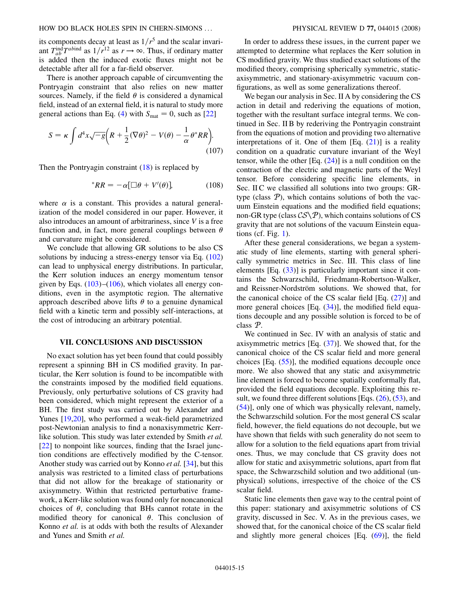its components decay at least as  $1/r^5$  and the scalar invariant  $T_{ab}^{\text{ind}} T^{ab \text{ind}}$  as  $1/r^{12}$  as  $r \rightarrow \infty$ . Thus, if ordinary matter is added then the induced exotic fluxes might not be detectable after all for a far-field observer.

There is another approach capable of circumventing the Pontryagin constraint that also relies on new matter sources. Namely, if the field  $\theta$  is considered a dynamical field, instead of an external field, it is natural to study more general actions than Eq. ([4\)](#page-2-5) with  $S_{\text{mat}} = 0$ , such as [\[22\]](#page-18-13)

$$
S = \kappa \int d^4x \sqrt{-g} \left( R + \frac{1}{2} (\nabla \theta)^2 - V(\theta) - \frac{1}{\alpha} \theta^* R R \right).
$$
\n(107)

<span id="page-14-0"></span>Then the Pontryagin constraint  $(18)$  is replaced by

$$
{}^*RR = -\alpha[\Box \theta + V'(\theta)], \qquad (108)
$$

where  $\alpha$  is a constant. This provides a natural generalization of the model considered in our paper. However, it also introduces an amount of arbitrariness, since *V* is a free function and, in fact, more general couplings between  $\theta$ and curvature might be considered.

We conclude that allowing GR solutions to be also CS solutions by inducing a stress-energy tensor via Eq. ([102\)](#page-13-2) can lead to unphysical energy distributions. In particular, the Kerr solution induces an energy momentum tensor given by Eqs.  $(103)$  $(103)$ – $(106)$  $(106)$  $(106)$ , which violates all energy conditions, even in the asymptotic region. The alternative approach described above lifts  $\theta$  to a genuine dynamical field with a kinetic term and possibly self-interactions, at the cost of introducing an arbitrary potential.

### **VII. CONCLUSIONS AND DISCUSSION**

No exact solution has yet been found that could possibly represent a spinning BH in CS modified gravity. In particular, the Kerr solution is found to be incompatible with the constraints imposed by the modified field equations. Previously, only perturbative solutions of CS gravity had been considered, which might represent the exterior of a BH. The first study was carried out by Alexander and Yunes [[19](#page-18-12),[20](#page-18-10)], who performed a weak-field parametrized post-Newtonian analysis to find a nonaxisymmetric Kerrlike solution. This study was later extended by Smith *et al.* [\[22\]](#page-18-13) to nonpoint like sources, finding that the Israel junction conditions are effectively modified by the C-tensor. Another study was carried out by Konno *et al.* [[34](#page-18-35)], but this analysis was restricted to a limited class of perturbations that did not allow for the breakage of stationarity or axisymmetry. Within that restricted perturbative framework, a Kerr-like solution was found only for noncanonical choices of  $\theta$ , concluding that BHs cannot rotate in the modified theory for canonical  $\theta$ . This conclusion of Konno *et al.* is at odds with both the results of Alexander and Yunes and Smith *et al.*

In order to address these issues, in the current paper we attempted to determine what replaces the Kerr solution in CS modified gravity. We thus studied exact solutions of the modified theory, comprising spherically symmetric, staticaxisymmetric, and stationary-axisymmetric vacuum configurations, as well as some generalizations thereof.

We began our analysis in Sec. II A by considering the CS action in detail and rederiving the equations of motion, together with the resultant surface integral terms. We continued in Sec. II B by rederiving the Pontryagin constraint from the equations of motion and providing two alternative interpretations of it. One of them  $[Eq, (21)]$  $[Eq, (21)]$  $[Eq, (21)]$  is a reality condition on a quadratic curvature invariant of the Weyl tensor, while the other  $[Eq. (24)]$  $[Eq. (24)]$  $[Eq. (24)]$  is a null condition on the contraction of the electric and magnetic parts of the Weyl tensor. Before considering specific line elements, in Sec. II C we classified all solutions into two groups: GRtype (class  $P$ ), which contains solutions of both the vacuum Einstein equations and the modified field equations; non-GR type (class  $\mathcal{CS}\backslash\mathcal{P}$ ), which contains solutions of CS gravity that are not solutions of the vacuum Einstein equations (cf. Fig.  $1$ ).

After these general considerations, we began a systematic study of line elements, starting with general spherically symmetric metrics in Sec. III. This class of line elements [Eq. [\(33\)](#page-6-3)] is particularly important since it contains the Schwarzschild, Friedmann-Robertson-Walker, and Reissner-Nordström solutions. We showed that, for the canonical choice of the CS scalar field  $[Eq. (27)]$  $[Eq. (27)]$  $[Eq. (27)]$  and more general choices  $[Eq. (34)]$  $[Eq. (34)]$  $[Eq. (34)]$ , the modified field equations decouple and any possible solution is forced to be of class P.

We continued in Sec. IV with an analysis of static and axisymmetric metrics  $[Eq. (37)]$  $[Eq. (37)]$  $[Eq. (37)]$ . We showed that, for the canonical choice of the CS scalar field and more general choices  $[Eq. (55)]$  $[Eq. (55)]$  $[Eq. (55)]$ , the modified equations decouple once more. We also showed that any static and axisymmetric line element is forced to become spatially conformally flat, provided the field equations decouple. Exploiting this result, we found three different solutions [Eqs.  $(26)$ ,  $(53)$ , and [\(54\)](#page-8-1)], only one of which was physically relevant, namely, the Schwarzschild solution. For the most general CS scalar field, however, the field equations do not decouple, but we have shown that fields with such generality do not seem to allow for a solution to the field equations apart from trivial ones. Thus, we may conclude that CS gravity does not allow for static and axisymmetric solutions, apart from flat space, the Schwarzschild solution and two additional (unphysical) solutions, irrespective of the choice of the CS scalar field.

Static line elements then gave way to the central point of this paper: stationary and axisymmetric solutions of CS gravity, discussed in Sec. V. As in the previous cases, we showed that, for the canonical choice of the CS scalar field and slightly more general choices [Eq. [\(69\)](#page-9-3)], the field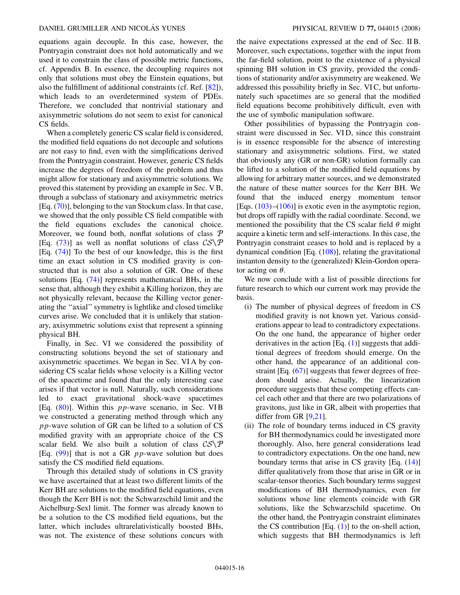equations again decouple. In this case, however, the Pontryagin constraint does not hold automatically and we used it to constrain the class of possible metric functions, cf. Appendix B. In essence, the decoupling requires not only that solutions must obey the Einstein equations, but also the fulfillment of additional constraints (cf. Ref. [\[82](#page-19-18)]), which leads to an overdetermined system of PDEs. Therefore, we concluded that nontrivial stationary and axisymmetric solutions do not seem to exist for canonical CS fields.

When a completely generic CS scalar field is considered, the modified field equations do not decouple and solutions are not easy to find, even with the simplifications derived from the Pontryagin constraint. However, generic CS fields increase the degrees of freedom of the problem and thus might allow for stationary and axisymmetric solutions. We proved this statement by providing an example in Sec. V B, through a subclass of stationary and axisymmetric metrics [Eq. [\(70\)](#page-10-3)], belonging to the van Stockum class. In that case, we showed that the only possible CS field compatible with the field equations excludes the canonical choice. Moreover, we found both, nonflat solutions of class  $P$ [Eq. ([73](#page-10-1))] as well as nonflat solutions of class  $CS\backslash P$ [Eq. [\(74\)](#page-10-2)] To the best of our knowledge, this is the first time an exact solution in CS modified gravity is constructed that is not also a solution of GR. One of these solutions [Eq. ([74](#page-10-2))] represents mathematical BHs, in the sense that, although they exhibit a Killing horizon, they are not physically relevant, because the Killing vector generating the ''axial'' symmetry is lightlike and closed timelike curves arise. We concluded that it is unlikely that stationary, axisymmetric solutions exist that represent a spinning physical BH.

Finally, in Sec. VI we considered the possibility of constructing solutions beyond the set of stationary and axisymmetric spacetimes. We began in Sec. VI A by considering CS scalar fields whose velocity is a Killing vector of the spacetime and found that the only interesting case arises if that vector is null. Naturally, such considerations led to exact gravitational shock-wave spacetimes [Eq. ([80](#page-11-2))]. Within this *pp*-wave scenario, in Sec. VI B we constructed a generating method through which any *pp*-wave solution of GR can be lifted to a solution of CS modified gravity with an appropriate choice of the CS scalar field. We also built a solution of class  $CS\backslash P$ [Eq. ([99](#page-12-11))] that is not a GR *pp*-wave solution but does satisfy the CS modified field equations.

Through this detailed study of solutions in CS gravity we have ascertained that at least two different limits of the Kerr BH are solutions to the modified field equations, even though the Kerr BH is not: the Schwarzschild limit and the Aichelburg-Sexl limit. The former was already known to be a solution to the CS modified field equations, but the latter, which includes ultrarelativistically boosted BHs, was not. The existence of these solutions concurs with the naive expectations expressed at the end of Sec. II B. Moreover, such expectations, together with the input from the far-field solution, point to the existence of a physical spinning BH solution in CS gravity, provided the conditions of stationarity and/or axisymmetry are weakened. We addressed this possibility briefly in Sec. VI C, but unfortunately such spacetimes are so general that the modified field equations become prohibitively difficult, even with the use of symbolic manipulation software.

Other possibilities of bypassing the Pontryagin constraint were discussed in Sec. VI D, since this constraint is in essence responsible for the absence of interesting stationary and axisymmetric solutions. First, we stated that obviously any (GR or non-GR) solution formally can be lifted to a solution of the modified field equations by allowing for arbitrary matter sources, and we demonstrated the nature of these matter sources for the Kerr BH. We found that the induced energy momentum tensor [Eqs.  $(103)$  $(103)$  $(103)$ – $(106)$  $(106)$  $(106)$ ] is exotic even in the asymptotic region, but drops off rapidly with the radial coordinate. Second, we mentioned the possibility that the CS scalar field  $\theta$  might acquire a kinetic term and self-interactions. In this case, the Pontryagin constraint ceases to hold and is replaced by a dynamical condition [Eq. [\(108\)](#page-14-0)], relating the gravitational instanton density to the (generalized) Klein-Gordon operator acting on  $\theta$ .

We now conclude with a list of possible directions for future research to which our current work may provide the basis.

- (i) The number of physical degrees of freedom in CS modified gravity is not known yet. Various considerations appear to lead to contradictory expectations. On the one hand, the appearance of higher order derivatives in the action [Eq. [\(1](#page-1-0))] suggests that additional degrees of freedom should emerge. On the other hand, the appearance of an additional constraint [Eq. ([67](#page-9-2))] suggests that fewer degrees of freedom should arise. Actually, the linearization procedure suggests that these competing effects cancel each other and that there are two polarizations of gravitons, just like in GR, albeit with properties that differ from GR [\[9](#page-18-1),[21](#page-18-11)].
- (ii) The role of boundary terms induced in CS gravity for BH thermodynamics could be investigated more thoroughly. Also, here general considerations lead to contradictory expectations. On the one hand, new boundary terms that arise in CS gravity [Eq. ([14](#page-2-2))] differ qualitatively from those that arise in GR or in scalar-tensor theories. Such boundary terms suggest modifications of BH thermodynamics, even for solutions whose line elements coincide with GR solutions, like the Schwarzschild spacetime. On the other hand, the Pontryagin constraint eliminates the CS contribution  $[Eq. (1)]$  $[Eq. (1)]$  $[Eq. (1)]$  to the on-shell action, which suggests that BH thermodynamics is left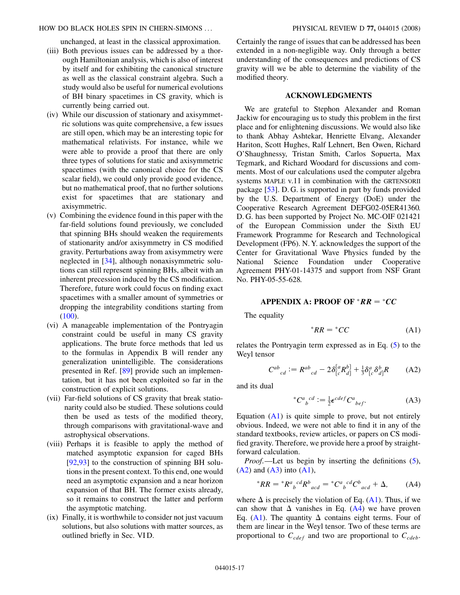unchanged, at least in the classical approximation.

- (iii) Both previous issues can be addressed by a thorough Hamiltonian analysis, which is also of interest by itself and for exhibiting the canonical structure as well as the classical constraint algebra. Such a study would also be useful for numerical evolutions of BH binary spacetimes in CS gravity, which is currently being carried out.
- (iv) While our discussion of stationary and axisymmetric solutions was quite comprehensive, a few issues are still open, which may be an interesting topic for mathematical relativists. For instance, while we were able to provide a proof that there are only three types of solutions for static and axisymmetric spacetimes (with the canonical choice for the CS scalar field), we could only provide good evidence, but no mathematical proof, that no further solutions exist for spacetimes that are stationary and axisymmetric.
- (v) Combining the evidence found in this paper with the far-field solutions found previously, we concluded that spinning BHs should weaken the requirements of stationarity and/or axisymmetry in CS modified gravity. Perturbations away from axisymmetry were neglected in [\[34](#page-18-35)], although nonaxisymmetric solutions can still represent spinning BHs, albeit with an inherent precession induced by the CS modification. Therefore, future work could focus on finding exact spacetimes with a smaller amount of symmetries or dropping the integrability conditions starting from  $(100).$  $(100).$
- (vi) A manageable implementation of the Pontryagin constraint could be useful in many CS gravity applications. The brute force methods that led us to the formulas in Appendix B will render any generalization unintelligible. The considerations presented in Ref. [[89](#page-19-25)] provide such an implementation, but it has not been exploited so far in the construction of explicit solutions.
- (vii) Far-field solutions of CS gravity that break stationarity could also be studied. These solutions could then be used as tests of the modified theory, through comparisons with gravitational-wave and astrophysical observations.
- (viii) Perhaps it is feasible to apply the method of matched asymptotic expansion for caged BHs [\[92,](#page-19-28)[93\]](#page-19-29) to the construction of spinning BH solutions in the present context. To this end, one would need an asymptotic expansion and a near horizon expansion of that BH. The former exists already, so it remains to construct the latter and perform the asymptotic matching.
- (ix) Finally, it is worthwhile to consider not just vacuum solutions, but also solutions with matter sources, as outlined briefly in Sec. VI D.

Certainly the range of issues that can be addressed has been extended in a non-negligible way. Only through a better understanding of the consequences and predictions of CS gravity will we be able to determine the viability of the modified theory.

## **ACKNOWLEDGMENTS**

We are grateful to Stephon Alexander and Roman Jackiw for encouraging us to study this problem in the first place and for enlightening discussions. We would also like to thank Abhay Ashtekar, Henriette Elvang, Alexander Hariton, Scott Hughes, Ralf Lehnert, Ben Owen, Richard O'Shaughnessy, Tristan Smith, Carlos Sopuerta, Max Tegmark, and Richard Woodard for discussions and comments. Most of our calculations used the computer algebra systems MAPLE v.11 in combination with the GRTENSORII package [[53](#page-18-23)]. D. G. is supported in part by funds provided by the U.S. Department of Energy (DoE) under the Cooperative Research Agreement DEFG02-05ER41360. D. G. has been supported by Project No. MC-OIF 021421 of the European Commission under the Sixth EU Framework Programme for Research and Technological Development (FP6). N. Y. acknowledges the support of the Center for Gravitational Wave Physics funded by the National Science Foundation under Cooperative Agreement PHY-01-14375 and support from NSF Grant No. PHY-05-55-628.

## **APPENDIX A: PROOF OF**  $^*RR = ^*CC$

<span id="page-16-2"></span>The equality

$$
{}^*RR = {}^*CC
$$
 (A1)

<span id="page-16-0"></span>relates the Pontryagin term expressed as in Eq. ([5\)](#page-2-0) to the Weyl tensor

$$
C^{ab}{}_{cd} := R^{ab}{}_{cd} - 2\delta^{[a}_{[c}R^{b]}_{d]} + \frac{1}{3}\delta^{a}_{[c}\delta^{b}_{d]}R
$$
 (A2)

<span id="page-16-1"></span>and its dual

$$
{}^*C^a{}_b{}^{cd} := \frac{1}{2} \epsilon^{cdef} C^a{}_{bef}.
$$
 (A3)

Equation  $(A1)$  $(A1)$  $(A1)$  is quite simple to prove, but not entirely obvious. Indeed, we were not able to find it in any of the standard textbooks, review articles, or papers on CS modified gravity. Therefore, we provide here a proof by straightforward calculation.

<span id="page-16-3"></span>*Proof*.—Let us begin by inserting the definitions ([5\)](#page-2-0),  $(A2)$  $(A2)$  and  $(A3)$  $(A3)$  into  $(A1)$  $(A1)$ ,

$$
{}^{*}RR = {}^{*}R^{a}{}_{b}{}^{cd}R^{b}{}_{acd} = {}^{*}C^{a}{}_{b}{}^{cd}C^{b}{}_{acd} + \Delta, \qquad (A4)
$$

where  $\Delta$  is precisely the violation of Eq. [\(A1\)](#page-16-2). Thus, if we can show that  $\Delta$  vanishes in Eq. [\(A4\)](#page-16-3) we have proven Eq. [\(A1\)](#page-16-2). The quantity  $\Delta$  contains eight terms. Four of them are linear in the Weyl tensor. Two of these terms are proportional to  $C_{cdef}$  and two are proportional to  $C_{cdef}$ .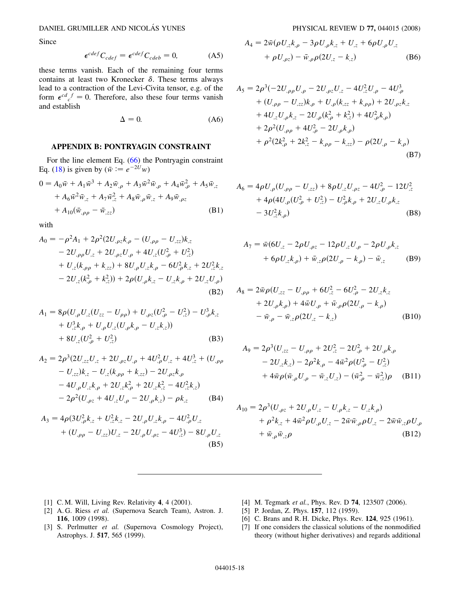Since

$$
\epsilon^{cdef} C_{cdef} = \epsilon^{cdef} C_{cdef} = 0,
$$
 (A5)

these terms vanish. Each of the remaining four terms contains at least two Kronecker  $\delta$ . These terms always lead to a contraction of the Levi-Civita tensor, e.g. of the form  $\epsilon^{cd}{}_{c}^{f} = 0$ . Therefore, also these four terms vanish and establish

$$
\Delta = 0. \tag{A6}
$$

## **APPENDIX B: PONTRYAGIN CONSTRAINT**

For the line element Eq. ([66](#page-9-1)) the Pontryagin constraint Eq. ([18](#page-3-0)) is given by ( $\bar{w} := e^{-2U}w$ )

$$
0 = A_0 \bar{w} + A_1 \bar{w}^3 + A_2 \bar{w}_{,\rho} + A_3 \bar{w}^2 \bar{w}_{,\rho} + A_4 \bar{w}_{,\rho}^2 + A_5 \bar{w}_{,z} + A_6 \bar{w}^2 \bar{w}_{,z} + A_7 \bar{w}_{,z}^2 + A_8 \bar{w}_{,\rho} \bar{w}_{,z} + A_9 \bar{w}_{,\rho z} + A_{10} (\bar{w}_{,\rho\rho} - \bar{w}_{,zz})
$$
(B1)

with

$$
A_0 = -\rho^2 A_1 + 2\rho^2 (2U_{,\rho z}k_{,\rho} - (U_{,\rho\rho} - U_{,zz})k_{,z} - 2U_{,\rho\rho}U_{,z} + 2U_{,\rho z}U_{,\rho} + 4U_{,z}(U_{,\rho}^2 + U_{,z}^2) + U_{,z}(k_{,\rho\rho} + k_{,zz}) + 8U_{,\rho}U_{,z}k_{,\rho} - 6U_{,\rho}^2k_{,z} + 2U_{,z}^2k_{,z} - 2U_{,z}(k_{,\rho}^2 + k_{,z}^2)) + 2\rho(U_{,\rho}k_{,z} - U_{,z}k_{,\rho} + 2U_{,z}U_{,\rho})
$$
\n(B2)

$$
A_1 = 8\rho(U_{,\rho}U_{,z}(U_{zz} - U_{\rho\rho}) + U_{,\rho z}(U_{,\rho}^2 - U_{,z}^2) - U_{,\rho}^3 k_{,z} + U_{,z}^3 k_{,\rho} + U_{,\rho} U_{,z}(U_{,\rho} k_{,\rho} - U_{,z} k_{,z})) + 8U_{,z}(U_{,\rho}^2 + U_{,z}^2)
$$
 (B3)

$$
A_2 = 2\rho^3 (2U_{,zz}U_{,z} + 2U_{,\rho z}U_{,\rho} + 4U_{,\rho}^2 U_{,z} + 4U_{,z}^3 + (U_{,\rho\rho} - U_{,zz})k_{,z} - U_{,z}(k_{,\rho\rho} + k_{,zz}) - 2U_{,\rho z}k_{,\rho} - 4U_{,\rho}U_{,z}k_{,\rho} + 2U_{,z}k_{,\rho}^2 + 2U_{,z}k_{,z}^2 - 4U_{,z}^2k_{,z}) - 2\rho^2 (U_{,\rho z} + 4U_{,z}U_{,\rho} - 2U_{,\rho}k_{,z}) - \rho k_{,z}
$$
 (B4)

$$
A_3 = 4\rho (3U_{,\rho}^2 k_{,z} + U_{,z}^2 k_{,z} - 2U_{,\rho} U_{,z} k_{,\rho} - 4U_{,\rho}^2 U_{,z} + (U_{,\rho\rho} - U_{,zz})U_{,z} - 2U_{,\rho} U_{,\rho z} - 4U_{,z}^3) - 8U_{,\rho} U_{,z}
$$
\n(B5)

$$
A_4 = 2\bar{w}(\rho U_{,z}k_{,\rho} - 3\rho U_{,\rho}k_{,z} + U_{,z} + 6\rho U_{,\rho}U_{,z} + \rho U_{,\rho z}) - \bar{w}_{,\rho}\rho(2U_{,z} - k_{,z})
$$
 (B6)

$$
A_5 = 2\rho^3(-2U_{,\rho\rho}U_{,\rho} - 2U_{,\rho z}U_{,z} - 4U_{,z}^2U_{,\rho} - 4U_{,\rho}^3 + (U_{,\rho\rho} - U_{,zz})k_{,\rho} + U_{,\rho}(k_{,zz} + k_{,\rho\rho}) + 2U_{,\rho z}k_{,z} + 4U_{,z}U_{,\rho}k_{,z} - 2U_{,\rho}(k_{,\rho}^2 + k_{,z}^2) + 4U_{,\rho}^2k_{,\rho}) + 2\rho^2(U_{,\rho\rho} + 4U_{,\rho}^2 - 2U_{,\rho}k_{,\rho}) + \rho^2(2k_{,\rho}^2 + 2k_{,z}^2 - k_{,\rho\rho} - k_{,zz}) - \rho(2U_{,\rho} - k_{,\rho})
$$
(B7)

$$
A_6 = 4\rho U_{,\rho}(U_{,\rho\rho} - U_{,zz}) + 8\rho U_{,z}U_{,\rho z} - 4U_{,\rho}^2 - 12U_{,z}^2 + 4\rho(4U_{,\rho}(U_{,\rho}^2 + U_{,z}^2) - U_{,\rho}^2k_{,\rho} + 2U_{,z}U_{,\rho}k_{,z} - 3U_{,z}^2k_{,\rho})
$$
 (B8)

$$
A_7 = \bar{w}(6U_{,z} - 2\rho U_{,\rho z} - 12\rho U_{,z}U_{,\rho} - 2\rho U_{,\rho}k_{,z} + 6\rho U_{,z}k_{,\rho}) + \bar{w}_{,z}\rho(2U_{,\rho} - k_{,\rho}) - \bar{w}_{,z}
$$
 (B9)

$$
A_8 = 2\bar{w}\rho (U_{,zz} - U_{,\rho\rho} + 6U_{,z}^2 - 6U_{,\rho}^2 - 2U_{,z}k_{,z} + 2U_{,\rho}k_{,\rho}) + 4\bar{w}U_{,\rho} + \bar{w}_{,\rho}\rho (2U_{,\rho} - k_{,\rho}) - \bar{w}_{,\rho} - \bar{w}_{,z}\rho (2U_{,z} - k_{,z})
$$
(B10)

$$
A_9 = 2\rho^3 (U_{,zz} - U_{,\rho\rho} + 2U_{,z}^2 - 2U_{,\rho}^2 + 2U_{,\rho}k_{,\rho} - 2U_{,z}k_{,z}) - 2\rho^2 k_{,\rho} - 4\bar{w}^2 \rho (U_{,\rho}^2 - U_{,z}^2) + 4\bar{w}\rho (\bar{w}_{,\rho}U_{,\rho} - \bar{w}_{,z}U_{,z}) - (\bar{w}_{,\rho}^2 - \bar{w}_{,z}^2)\rho
$$
 (B11)

$$
A_{10} = 2\rho^3 (U_{,\rho z} + 2U_{,\rho}U_{,z} - U_{,\rho}k_{,z} - U_{,z}k_{,\rho})
$$
  
+  $\rho^2 k_{,z} + 4\bar{w}^2 \rho U_{,\rho}U_{,z} - 2\bar{w}\bar{w}_{,\rho}\rho U_{,z} - 2\bar{w}\bar{w}_{,z}\rho U_{,\rho}$   
+  $\bar{w}_{,\rho}\bar{w}_{,z}\rho$  (B12)

- <span id="page-17-1"></span><span id="page-17-0"></span>[1] C. M. Will, Living Rev. Relativity **4**, 4 (2001).
- [2] A. G. Riess *et al.* (Supernova Search Team), Astron. J. **116**, 1009 (1998).
- [3] S. Perlmutter *et al.* (Supernova Cosmology Project), Astrophys. J. **517**, 565 (1999).
- <span id="page-17-3"></span><span id="page-17-2"></span>[4] M. Tegmark *et al.*, Phys. Rev. D **74**, 123507 (2006).
- <span id="page-17-4"></span>[5] P. Jordan, Z. Phys. **157**, 112 (1959).
- <span id="page-17-5"></span>[6] C. Brans and R. H. Dicke, Phys. Rev. **124**, 925 (1961).
- [7] If one considers the classical solutions of the nonmodified theory (without higher derivatives) and regards additional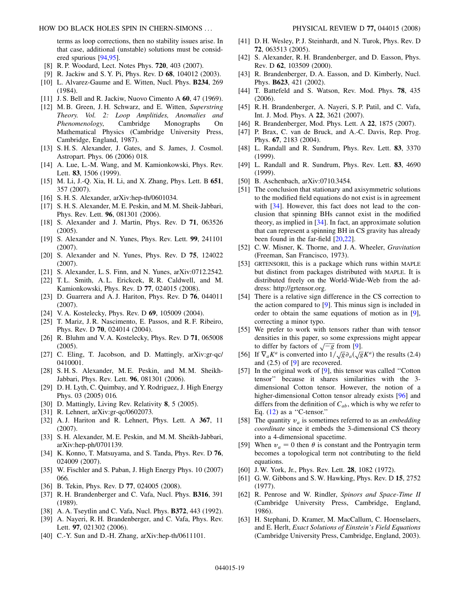terms as loop corrections, then no stability issues arise. In that case, additional (unstable) solutions must be considered spurious [\[94](#page-19-30)[,95\]](#page-19-31).

- <span id="page-18-0"></span>[8] R. P. Woodard, Lect. Notes Phys. **720**, 403 (2007).
- <span id="page-18-1"></span>[9] R. Jackiw and S. Y. Pi, Phys. Rev. D **68**, 104012 (2003).
- <span id="page-18-2"></span>[10] L. Alvarez-Gaume and E. Witten, Nucl. Phys. **B234**, 269 (1984).
- <span id="page-18-3"></span>[11] J. S. Bell and R. Jackiw, Nuovo Cimento A **60**, 47 (1969).
- <span id="page-18-4"></span>[12] M. B. Green, J. H. Schwarz, and E. Witten, *Superstring Theory. Vol. 2: Loop Amplitides, Anomalies and Phenomenology*, Cambridge Monographs On Mathematical Physics (Cambridge University Press, Cambridge, England, 1987).
- <span id="page-18-5"></span>[13] S. H. S. Alexander, J. Gates, and S. James, J. Cosmol. Astropart. Phys. 06 (2006) 018.
- <span id="page-18-6"></span>[14] A. Lue, L.-M. Wang, and M. Kamionkowski, Phys. Rev. Lett. **83**, 1506 (1999).
- [15] M. Li, J.-Q. Xia, H. Li, and X. Zhang, Phys. Lett. B **651**, 357 (2007).
- <span id="page-18-7"></span>[16] S. H. S. Alexander, arXiv:hep-th/0601034.
- <span id="page-18-8"></span>[17] S. H. S. Alexander, M. E. Peskin, and M. M. Sheik-Jabbari, Phys. Rev. Lett. **96**, 081301 (2006).
- <span id="page-18-9"></span>[18] S. Alexander and J. Martin, Phys. Rev. D **71**, 063526 (2005).
- <span id="page-18-12"></span>[19] S. Alexander and N. Yunes, Phys. Rev. Lett. **99**, 241101 (2007).
- <span id="page-18-10"></span>[20] S. Alexander and N. Yunes, Phys. Rev. D **75**, 124022 (2007).
- <span id="page-18-11"></span>[21] S. Alexander, L. S. Finn, and N. Yunes, arXiv:0712.2542.
- <span id="page-18-13"></span>[22] T.L. Smith, A.L. Erickcek, R.R. Caldwell, and M. Kamionkowski, Phys. Rev. D **77**, 024015 (2008).
- <span id="page-18-14"></span>[23] D. Guarrera and A. J. Hariton, Phys. Rev. D **76**, 044011 (2007).
- [24] V. A. Kostelecky, Phys. Rev. D **69**, 105009 (2004).
- [25] T. Mariz, J. R. Nascimento, E. Passos, and R. F. Ribeiro, Phys. Rev. D **70**, 024014 (2004).
- [26] R. Bluhm and V. A. Kostelecky, Phys. Rev. D **71**, 065008 (2005).
- [27] C. Eling, T. Jacobson, and D. Mattingly, arXiv:gr-qc/ 0410001.
- <span id="page-18-32"></span>[28] S.H.S. Alexander, M.E. Peskin, and M.M. Sheikh-Jabbari, Phys. Rev. Lett. **96**, 081301 (2006).
- [29] D. H. Lyth, C. Quimbay, and Y. Rodriguez, J. High Energy Phys. 03 (2005) 016.
- [30] D. Mattingly, Living Rev. Relativity **8**, 5 (2005).
- [31] R. Lehnert, arXiv:gr-qc/0602073.
- [32] A. J. Hariton and R. Lehnert, Phys. Lett. A **367**, 11 (2007).
- [33] S. H. Alexander, M. E. Peskin, and M. M. Sheikh-Jabbari, arXiv:hep-ph/0701139.
- <span id="page-18-35"></span>[34] K. Konno, T. Matsuyama, and S. Tanda, Phys. Rev. D **76**, 024009 (2007).
- [35] W. Fischler and S. Paban, J. High Energy Phys. 10 (2007) 066.
- <span id="page-18-16"></span><span id="page-18-15"></span>[36] B. Tekin, Phys. Rev. D **77**, 024005 (2008).
- [37] R. H. Brandenberger and C. Vafa, Nucl. Phys. **B316**, 391 (1989).
- [38] A. A. Tseytlin and C. Vafa, Nucl. Phys. **B372**, 443 (1992).
- [39] A. Nayeri, R. H. Brandenberger, and C. Vafa, Phys. Rev. Lett. **97**, 021302 (2006).
- [40] C.-Y. Sun and D.-H. Zhang, arXiv:hep-th/0611101.
- [41] D. H. Wesley, P. J. Steinhardt, and N. Turok, Phys. Rev. D **72**, 063513 (2005).
- [42] S. Alexander, R. H. Brandenberger, and D. Easson, Phys. Rev. D **62**, 103509 (2000).
- [43] R. Brandenberger, D. A. Easson, and D. Kimberly, Nucl. Phys. **B623**, 421 (2002).
- [44] T. Battefeld and S. Watson, Rev. Mod. Phys. **78**, 435 (2006).
- [45] R. H. Brandenberger, A. Nayeri, S. P. Patil, and C. Vafa, Int. J. Mod. Phys. A **22**, 3621 (2007).
- [46] R. Brandenberger, Mod. Phys. Lett. A **22**, 1875 (2007).
- <span id="page-18-17"></span>[47] P. Brax, C. van de Bruck, and A.-C. Davis, Rep. Prog. Phys. **67**, 2183 (2004).
- <span id="page-18-18"></span>[48] L. Randall and R. Sundrum, Phys. Rev. Lett. **83**, 3370 (1999).
- <span id="page-18-19"></span>[49] L. Randall and R. Sundrum, Phys. Rev. Lett. **83**, 4690 (1999).
- <span id="page-18-20"></span>[50] B. Aschenbach, arXiv:0710.3454.
- <span id="page-18-21"></span>[51] The conclusion that stationary and axisymmetric solutions to the modified field equations do not exist is in agreement with [[34](#page-18-35)]. However, this fact does not lead to the conclusion that spinning BHs cannot exist in the modified theory, as implied in [[34](#page-18-35)]. In fact, an approximate solution that can represent a spinning BH in CS gravity has already been found in the far-field [[20](#page-18-10),[22\]](#page-18-13).
- <span id="page-18-22"></span>[52] C. W. Misner, K. Thorne, and J. A. Wheeler, *Gravitation* (Freeman, San Francisco, 1973).
- <span id="page-18-23"></span>[53] GRTENSORII, this is a package which runs within MAPLE but distinct from packages distributed with MAPLE. It is distributed freely on the World-Wide-Web from the address: http://grtensor.org.
- <span id="page-18-24"></span>[54] There is a relative sign difference in the CS correction to the action compared to [\[9\]](#page-18-1). This minus sign is included in order to obtain the same equations of motion as in [[9\]](#page-18-1), correcting a minor typo.
- <span id="page-18-25"></span>[55] We prefer to work with tensors rather than with tensor densities in this paper, so some expressions might appear to differ by factors of  $\sqrt{-g}$  from [[9\]](#page-18-1). -----<br>ה -
- <span id="page-18-26"></span>[56] If  $\nabla_a K^a$  is converted into  $1/\sqrt{g} \partial_a(\sqrt{g} K^a)$  the results (2.4) -<br>-<br>---<br>-<br>ጣ and (2.5) of [\[9](#page-18-1)] are recovered.
- <span id="page-18-27"></span>[57] In the original work of [\[9\]](#page-18-1), this tensor was called "Cotton" tensor'' because it shares similarities with the 3 dimensional Cotton tensor. However, the notion of a higher-dimensional Cotton tensor already exists [\[96\]](#page-19-32) and differs from the definition of  $C_{ab}$ , which is why we refer to Eq.  $(12)$  $(12)$  $(12)$  as a "C-tensor."
- <span id="page-18-28"></span>[58] The quantity  $v_a$  is sometimes referred to as an *embedding coordinate* since it embeds the 3-dimensional CS theory into a 4-dimensional spacetime.
- <span id="page-18-29"></span>[59] When  $v_a = 0$  then  $\theta$  is constant and the Pontryagin term becomes a topological term not contributing to the field equations.
- <span id="page-18-30"></span>[60] J. W. York, Jr., Phys. Rev. Lett. **28**, 1082 (1972).
- <span id="page-18-31"></span>[61] G. W. Gibbons and S. W. Hawking, Phys. Rev. D **15**, 2752 (1977).
- <span id="page-18-33"></span>[62] R. Penrose and W. Rindler, *Spinors and Space-Time II* (Cambridge University Press, Cambridge, England, 1986).
- <span id="page-18-34"></span>[63] H. Stephani, D. Kramer, M. MacCallum, C. Hoenselaers, and E. Herlt, *Exact Solutions of Einstein's Field Equations* (Cambridge University Press, Cambridge, England, 2003).